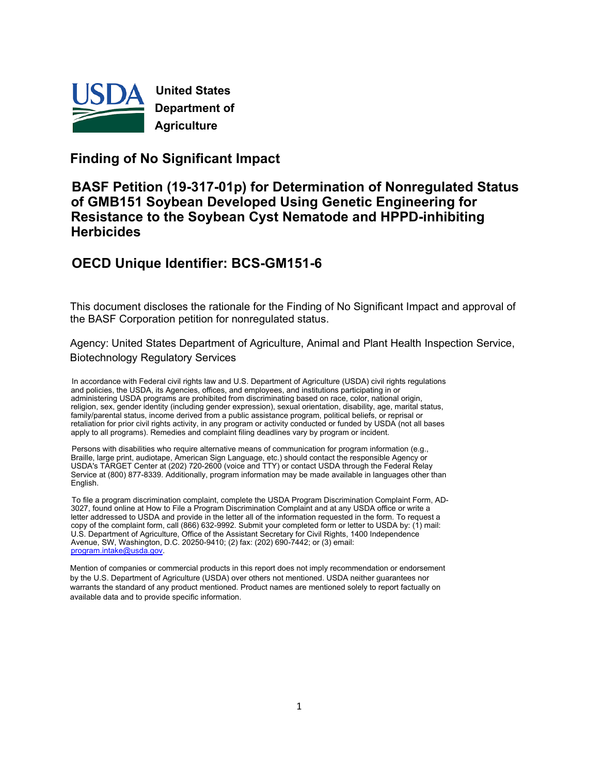

**United States Department of Agriculture**

### **Finding of No Significant Impact**

### **BASF Petition (19-317-01p) for Determination of Nonregulated Status of GMB151 Soybean Developed Using Genetic Engineering for Resistance to the Soybean Cyst Nematode and HPPD-inhibiting Herbicides**

# **OECD Unique Identifier: BCS-GM151-6**

This document discloses the rationale for the Finding of No Significant Impact and approval of the BASF Corporation petition for nonregulated status.

Agency: United States Department of Agriculture, Animal and Plant Health Inspection Service, Biotechnology Regulatory Services

In accordance with Federal civil rights law and U.S. Department of Agriculture (USDA) civil rights regulations and policies, the USDA, its Agencies, offices, and employees, and institutions participating in or administering USDA programs are prohibited from discriminating based on race, color, national origin, religion, sex, gender identity (including gender expression), sexual orientation, disability, age, marital status, family/parental status, income derived from a public assistance program, political beliefs, or reprisal or retaliation for prior civil rights activity, in any program or activity conducted or funded by USDA (not all bases apply to all programs). Remedies and complaint filing deadlines vary by program or incident.

Persons with disabilities who require alternative means of communication for program information (e.g., Braille, large print, audiotape, American Sign Language, etc.) should contact the responsible Agency or USDA's TARGET Center at (202) 720-2600 (voice and TTY) or contact USDA through the Federal Relay Service at (800) 877-8339. Additionally, program information may be made available in languages other than **English** 

To file a program discrimination complaint, complete the USDA Program Discrimination Complaint Form, AD-3027, found online at How to File a Program Discrimination Complaint and at any USDA office or write a letter addressed to USDA and provide in the letter all of the information requested in the form. To request a copy of the complaint form, call (866) 632-9992. Submit your completed form or letter to USDA by: (1) mail: U.S. Department of Agriculture, Office of the Assistant Secretary for Civil Rights, 1400 Independence Avenue, SW, Washington, D.C. 20250-9410; (2) fax: (202) 690-7442; or (3) email: [program.intake@usda.gov.](mailto:program.intake@usda.gov)

Mention of companies or commercial products in this report does not imply recommendation or endorsement by the U.S. Department of Agriculture (USDA) over others not mentioned. USDA neither guarantees nor warrants the standard of any product mentioned. Product names are mentioned solely to report factually on available data and to provide specific information.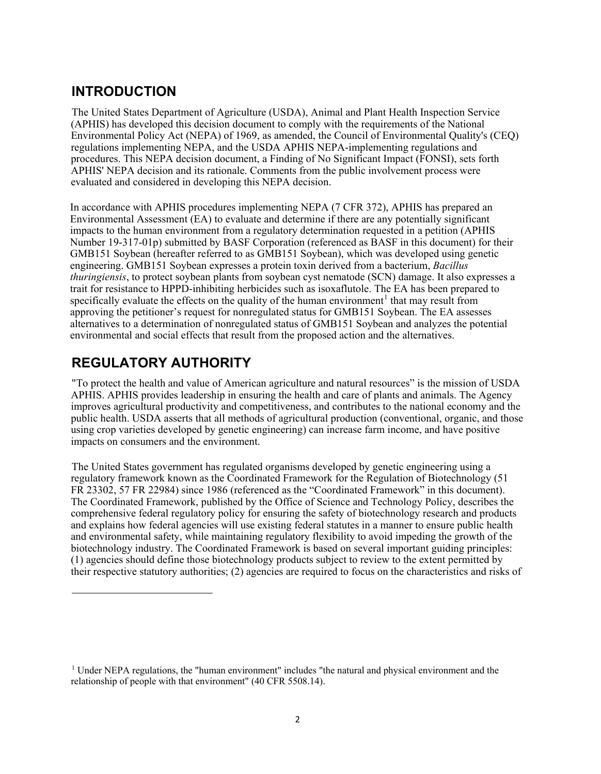# **INTRODUCTION**

The United States Department of Agriculture (USDA), Animal and Plant Health Inspection Service (APHIS) has developed this decision document to comply with the requirements of the National Environmental Policy Act (NEPA) of 1969, as amended, the Council of Environmental Quality's (CEQ) regulations implementing NEPA, and the USDA APHIS NEPA-implementing regulations and procedures. This NEPA decision document, a Finding of No Significant Impact (FONSI), sets forth APHIS' NEPA decision and its rationale. Comments from the public involvement process were evaluated and considered in developing this NEPA decision.

In accordance with APHIS procedures implementing NEPA (7 CFR 372), APHIS has prepared an Environmental Assessment (EA) to evaluate and determine if there are any potentially significant impacts to the human environment from a regulatory determination requested in a petition (APHIS Number 19-317-01p) submitted by BASF Corporation (referenced as BASF in this document) for their GMB151 Soybean (hereafter referred to as GMB151 Soybean), which was developed using genetic engineering. GMB151 Soybean expresses a protein toxin derived from a bacterium, *Bacillus thuringiensis*, to protect soybean plants from soybean cyst nematode (SCN) damage. It also expresses a trait for resistance to HPPD-inhibiting herbicides such as isoxaflutole. The EA has been prepared to specifically evaluate the effects on the quality of the human environment<sup>[1](#page-1-0)</sup> that may result from approving the petitioner's request for nonregulated status for GMB151 Soybean. The EA assesses alternatives to a determination of nonregulated status of GMB151 Soybean and analyzes the potential environmental and social effects that result from the proposed action and the alternatives.

# **REGULATORY AUTHORITY**

"To protect the health and value of American agriculture and natural resources" is the mission of USDA APHIS. APHIS provides leadership in ensuring the health and care of plants and animals. The Agency improves agricultural productivity and competitiveness, and contributes to the national economy and the public health. USDA asserts that all methods of agricultural production (conventional, organic, and those using crop varieties developed by genetic engineering) can increase farm income, and have positive impacts on consumers and the environment.

The United States government has regulated organisms developed by genetic engineering using a regulatory framework known as the Coordinated Framework for the Regulation of Biotechnology (51 FR 23302, 57 FR 22984) since 1986 (referenced as the "Coordinated Framework" in this document). The Coordinated Framework, published by the Office of Science and Technology Policy, describes the comprehensive federal regulatory policy for ensuring the safety of biotechnology research and products and explains how federal agencies will use existing federal statutes in a manner to ensure public health and environmental safety, while maintaining regulatory flexibility to avoid impeding the growth of the biotechnology industry. The Coordinated Framework is based on several important guiding principles: (1) agencies should define those biotechnology products subject to review to the extent permitted by their respective statutory authorities; (2) agencies are required to focus on the characteristics and risks of

<span id="page-1-0"></span><sup>&</sup>lt;sup>1</sup> Under NEPA regulations, the "human environment" includes "the natural and physical environment and the relationship of people with that environment" (40 CFR 5508.14).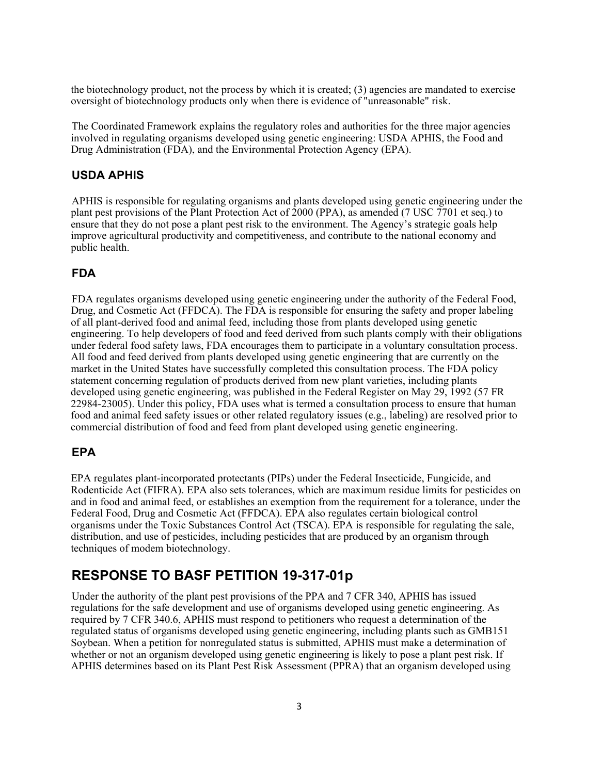the biotechnology product, not the process by which it is created; (3) agencies are mandated to exercise oversight of biotechnology products only when there is evidence of "unreasonable" risk.

The Coordinated Framework explains the regulatory roles and authorities for the three major agencies involved in regulating organisms developed using genetic engineering: USDA APHIS, the Food and Drug Administration (FDA), and the Environmental Protection Agency (EPA).

#### **USDA APHIS**

APHIS is responsible for regulating organisms and plants developed using genetic engineering under the plant pest provisions of the Plant Protection Act of 2000 (PPA), as amended (7 USC 7701 et seq.) to ensure that they do not pose a plant pest risk to the environment. The Agency's strategic goals help improve agricultural productivity and competitiveness, and contribute to the national economy and public health.

#### **FDA**

FDA regulates organisms developed using genetic engineering under the authority of the Federal Food, Drug, and Cosmetic Act (FFDCA). The FDA is responsible for ensuring the safety and proper labeling of all plant-derived food and animal feed, including those from plants developed using genetic engineering. To help developers of food and feed derived from such plants comply with their obligations under federal food safety laws, FDA encourages them to participate in a voluntary consultation process. All food and feed derived from plants developed using genetic engineering that are currently on the market in the United States have successfully completed this consultation process. The FDA policy statement concerning regulation of products derived from new plant varieties, including plants developed using genetic engineering, was published in the Federal Register on May 29, 1992 (57 FR 22984-23005). Under this policy, FDA uses what is termed a consultation process to ensure that human food and animal feed safety issues or other related regulatory issues (e.g., labeling) are resolved prior to commercial distribution of food and feed from plant developed using genetic engineering.

#### **EPA**

EPA regulates plant-incorporated protectants (PIPs) under the Federal Insecticide, Fungicide, and Rodenticide Act (FIFRA). EPA also sets tolerances, which are maximum residue limits for pesticides on and in food and animal feed, or establishes an exemption from the requirement for a tolerance, under the Federal Food, Drug and Cosmetic Act (FFDCA). EPA also regulates certain biological control organisms under the Toxic Substances Control Act (TSCA). EPA is responsible for regulating the sale, distribution, and use of pesticides, including pesticides that are produced by an organism through techniques of modem biotechnology.

### **RESPONSE TO BASF PETITION 19-317-01p**

Under the authority of the plant pest provisions of the PPA and 7 CFR 340, APHIS has issued regulations for the safe development and use of organisms developed using genetic engineering. As required by 7 CFR 340.6, APHIS must respond to petitioners who request a determination of the regulated status of organisms developed using genetic engineering, including plants such as GMB151 Soybean. When a petition for nonregulated status is submitted, APHIS must make a determination of whether or not an organism developed using genetic engineering is likely to pose a plant pest risk. If APHIS determines based on its Plant Pest Risk Assessment (PPRA) that an organism developed using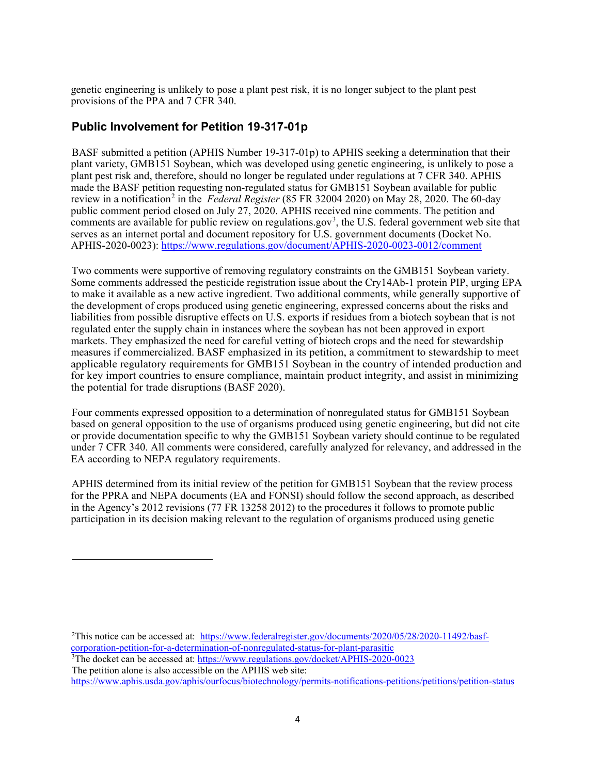genetic engineering is unlikely to pose a plant pest risk, it is no longer subject to the plant pest provisions of the PPA and 7 CFR 340.

#### **Public Involvement for Petition 19-317-01p**

BASF submitted a petition (APHIS Number 19-317-01p) to APHIS seeking a determination that their plant variety, GMB151 Soybean, which was developed using genetic engineering, is unlikely to pose a plant pest risk and, therefore, should no longer be regulated under regulations at 7 CFR 340. APHIS made the BASF petition requesting non-regulated status for GMB151 Soybean available for public review in a notification<sup>[2](#page-3-0)</sup> in the *Federal Register* (85 FR 32004 2020) on May 28, 2020. The 60-day public comment period closed on July 27, 2020. APHIS received nine comments. The petition and comments are available for public review on regulations.gov<sup>[3](#page-3-1)</sup>, the U.S. federal government web site that serves as an internet portal and document repository for U.S. government documents (Docket No. APHIS-2020-0023): <https://www.regulations.gov/document/APHIS-2020-0023-0012/comment>

Two comments were supportive of removing regulatory constraints on the GMB151 Soybean variety. Some comments addressed the pesticide registration issue about the Cry14Ab-1 protein PIP, urging EPA to make it available as a new active ingredient. Two additional comments, while generally supportive of the development of crops produced using genetic engineering, expressed concerns about the risks and liabilities from possible disruptive effects on U.S. exports if residues from a biotech soybean that is not regulated enter the supply chain in instances where the soybean has not been approved in export markets. They emphasized the need for careful vetting of biotech crops and the need for stewardship measures if commercialized. BASF emphasized in its petition, a commitment to stewardship to meet applicable regulatory requirements for GMB151 Soybean in the country of intended production and for key import countries to ensure compliance, maintain product integrity, and assist in minimizing the potential for trade disruptions [\(BASF 2020\)](#page-27-0).

Four comments expressed opposition to a determination of nonregulated status for GMB151 Soybean based on general opposition to the use of organisms produced using genetic engineering, but did not cite or provide documentation specific to why the GMB151 Soybean variety should continue to be regulated under 7 CFR 340. All comments were considered, carefully analyzed for relevancy, and addressed in the EA according to NEPA regulatory requirements.

APHIS determined from its initial review of the petition for GMB151 Soybean that the review process for the PPRA and NEPA documents (EA and FONSI) should follow the second approach, as described in the Agency's 2012 revisions (77 FR 13258 2012) to the procedures it follows to promote public participation in its decision making relevant to the regulation of organisms produced using genetic

<span id="page-3-0"></span><sup>2</sup>This notice can be accessed at: [https://www.federalregister.gov/documents/2020/05/28/2020-11492/basf](https://www.federalregister.gov/documents/2020/05/28/2020-11492/basf-corporation-petition-for-a-determination-of-nonregulated-status-for-plant-parasitic)corporation-petition-for-a-determination-of-nonregulated-status-for-plant-parasitic

<span id="page-3-1"></span><sup>3</sup>The docket can be accessed at: https://www.regulations.gov/docket/APHIS-2020-0023 The petition alone is also accessible on the APHIS web site:

<https://www.aphis.usda.gov/aphis/ourfocus/biotechnology/permits-notifications-petitions/petitions/petition-status>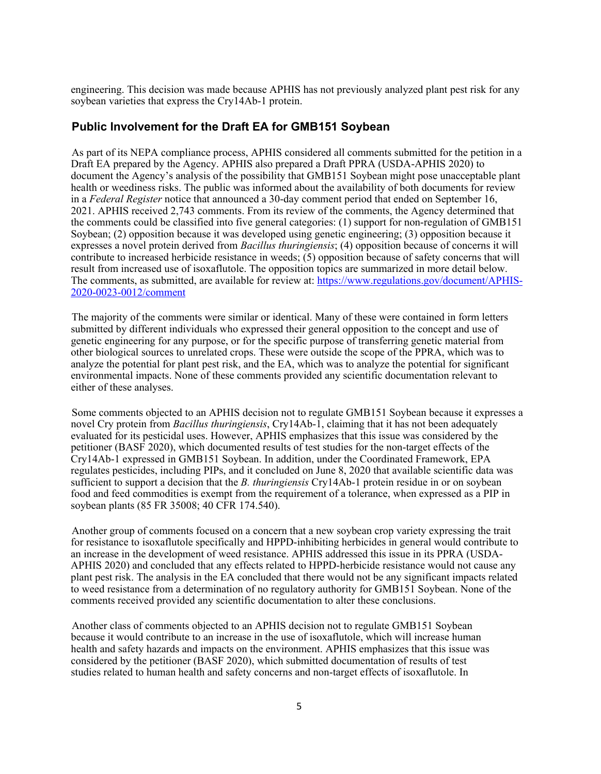engineering. This decision was made because APHIS has not previously analyzed plant pest risk for any soybean varieties that express the Cry14Ab-1 protein.

#### **Public Involvement for the Draft EA for GMB151 Soybean**

As part of its NEPA compliance process, APHIS considered all comments submitted for the petition in a Draft EA prepared by the Agency. APHIS also prepared a Draft PPRA [\(USDA-APHIS 2020\)](#page-27-0) to document the Agency's analysis of the possibility that GMB151 Soybean might pose unacceptable plant health or weediness risks. The public was informed about the availability of both documents for review in a *Federal Register* notice that announced a 30-day comment period that ended on September 16, 2021. APHIS received 2,743 comments. From its review of the comments, the Agency determined that the comments could be classified into five general categories: (1) support for non-regulation of GMB151 Soybean; (2) opposition because it was developed using genetic engineering; (3) opposition because it expresses a novel protein derived from *Bacillus thuringiensis*; (4) opposition because of concerns it will contribute to increased herbicide resistance in weeds; (5) opposition because of safety concerns that will result from increased use of isoxaflutole. The opposition topics are summarized in more detail below. The comments, as submitted, are available for review at: [https://www.regulations.gov/document/APHIS-](https://www.regulations.gov/document/APHIS-2020-0023-0012/comment)[2020-0023-0012/comment](https://www.regulations.gov/document/APHIS-2020-0023-0012/comment)

The majority of the comments were similar or identical. Many of these were contained in form letters submitted by different individuals who expressed their general opposition to the concept and use of genetic engineering for any purpose, or for the specific purpose of transferring genetic material from other biological sources to unrelated crops. These were outside the scope of the PPRA, which was to analyze the potential for plant pest risk, and the EA, which was to analyze the potential for significant environmental impacts. None of these comments provided any scientific documentation relevant to either of these analyses.

Some comments objected to an APHIS decision not to regulate GMB151 Soybean because it expresses a novel Cry protein from *Bacillus thuringiensis*, Cry14Ab-1, claiming that it has not been adequately evaluated for its pesticidal uses. However, APHIS emphasizes that this issue was considered by the petitioner [\(BASF 2020\)](#page-27-0), which documented results of test studies for the non-target effects of the Cry14Ab-1 expressed in GMB151 Soybean. In addition, under the Coordinated Framework, EPA regulates pesticides, including PIPs, and it concluded on June 8, 2020 that available scientific data was sufficient to support a decision that the *B. thuringiensis* Cry14Ab-1 protein residue in or on soybean [food](https://www.law.cornell.edu/definitions/index.php?width=840&height=800&iframe=true&def_id=73a57ad8ad91d0c2f11bdf0efaa1862d&term_occur=999&term_src=Title:40:Chapter:I:Subchapter:E:Part:174:Subpart:W:174.540) and feed commodities is exempt from the requirement of a tolerance, when expressed as a PIP in soybean plants (85 FR 35008; 40 CFR 174.540).

Another group of comments focused on a concern that a new soybean crop variety expressing the trait for resistance to isoxaflutole specifically and HPPD-inhibiting herbicides in general would contribute to an increase in the development of weed resistance. APHIS addressed this issue in its PPRA [\(USDA-](#page-27-0)[APHIS 2020\)](#page-27-0) and concluded that any effects related to HPPD-herbicide resistance would not cause any plant pest risk. The analysis in the EA concluded that there would not be any significant impacts related to weed resistance from a determination of no regulatory authority for GMB151 Soybean. None of the comments received provided any scientific documentation to alter these conclusions.

Another class of comments objected to an APHIS decision not to regulate GMB151 Soybean because it would contribute to an increase in the use of isoxaflutole, which will increase human health and safety hazards and impacts on the environment. APHIS emphasizes that this issue was considered by the petitioner [\(BASF 2020\)](#page-27-0), which submitted documentation of results of test studies related to human health and safety concerns and non-target effects of isoxaflutole. In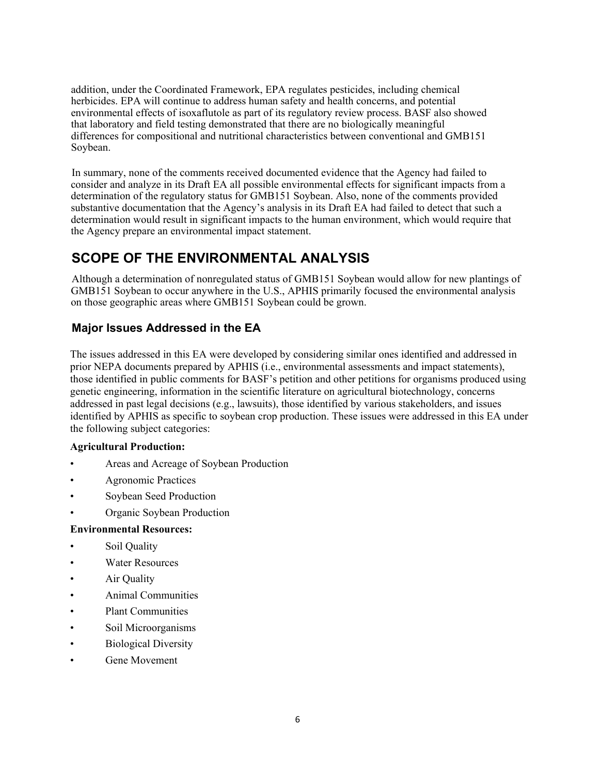addition, under the Coordinated Framework, EPA regulates pesticides, including chemical herbicides. EPA will continue to address human safety and health concerns, and potential environmental effects of isoxaflutole as part of its regulatory review process. BASF also showed that laboratory and field testing demonstrated that there are no biologically meaningful differences for compositional and nutritional characteristics between conventional and GMB151 Soybean.

In summary, none of the comments received documented evidence that the Agency had failed to consider and analyze in its Draft EA all possible environmental effects for significant impacts from a determination of the regulatory status for GMB151 Soybean. Also, none of the comments provided substantive documentation that the Agency's analysis in its Draft EA had failed to detect that such a determination would result in significant impacts to the human environment, which would require that the Agency prepare an environmental impact statement.

# **SCOPE OF THE ENVIRONMENTAL ANALYSIS**

Although a determination of nonregulated status of GMB151 Soybean would allow for new plantings of GMB151 Soybean to occur anywhere in the U.S., APHIS primarily focused the environmental analysis on those geographic areas where GMB151 Soybean could be grown.

### **Major Issues Addressed in the EA**

The issues addressed in this EA were developed by considering similar ones identified and addressed in prior NEPA documents prepared by APHIS (i.e., environmental assessments and impact statements), those identified in public comments for BASF's petition and other petitions for organisms produced using genetic engineering, information in the scientific literature on agricultural biotechnology, concerns addressed in past legal decisions (e.g., lawsuits), those identified by various stakeholders, and issues identified by APHIS as specific to soybean crop production. These issues were addressed in this EA under the following subject categories:

#### **Agricultural Production:**

- Areas and Acreage of Soybean Production
- Agronomic Practices
- Soybean Seed Production
- Organic Soybean Production

#### **Environmental Resources:**

- Soil Quality
- Water Resources
- Air Quality
- Animal Communities
- Plant Communities
- Soil Microorganisms
- Biological Diversity
- Gene Movement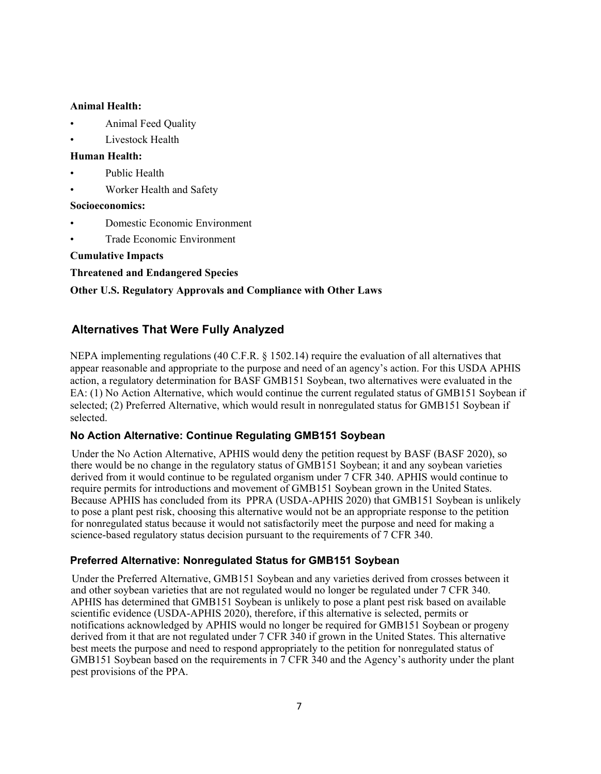#### **Animal Health:**

- Animal Feed Quality
- Livestock Health

#### **Human Health:**

- Public Health
- Worker Health and Safety

#### **Socioeconomics:**

- Domestic Economic Environment
- Trade Economic Environment

**Cumulative Impacts**

**Threatened and Endangered Species**

#### **Other U.S. Regulatory Approvals and Compliance with Other Laws**

#### **Alternatives That Were Fully Analyzed**

NEPA implementing regulations (40 C.F.R. § 1502.14) require the evaluation of all alternatives that appear reasonable and appropriate to the purpose and need of an agency's action. For this USDA APHIS action, a regulatory determination for BASF GMB151 Soybean, two alternatives were evaluated in the EA: (1) No Action Alternative, which would continue the current regulated status of GMB151 Soybean if selected; (2) Preferred Alternative, which would result in nonregulated status for GMB151 Soybean if selected.

#### **No Action Alternative: Continue Regulating GMB151 Soybean**

Under the No Action Alternative, APHIS would deny the petition request by BASF [\(BASF 2020\)](#page-27-0), so there would be no change in the regulatory status of GMB151 Soybean; it and any soybean varieties derived from it would continue to be regulated organism under 7 CFR 340. APHIS would continue to require permits for introductions and movement of GMB151 Soybean grown in the United States. Because APHIS has concluded from its PPRA [\(USDA-APHIS 2020\)](#page-27-0) that GMB151 Soybean is unlikely to pose a plant pest risk, choosing this alternative would not be an appropriate response to the petition for nonregulated status because it would not satisfactorily meet the purpose and need for making a science-based regulatory status decision pursuant to the requirements of 7 CFR 340.

#### **Preferred Alternative: Nonregulated Status for GMB151 Soybean**

Under the Preferred Alternative, GMB151 Soybean and any varieties derived from crosses between it and other soybean varieties that are not regulated would no longer be regulated under 7 CFR 340. APHIS has determined that GMB151 Soybean is unlikely to pose a plant pest risk based on available scientific evidence [\(USDA-APHIS 2020\)](#page-27-0), therefore, if this alternative is selected, permits or notifications acknowledged by APHIS would no longer be required for GMB151 Soybean or progeny derived from it that are not regulated under 7 CFR 340 if grown in the United States. This alternative best meets the purpose and need to respond appropriately to the petition for nonregulated status of GMB151 Soybean based on the requirements in 7 CFR 340 and the Agency's authority under the plant pest provisions of the PPA.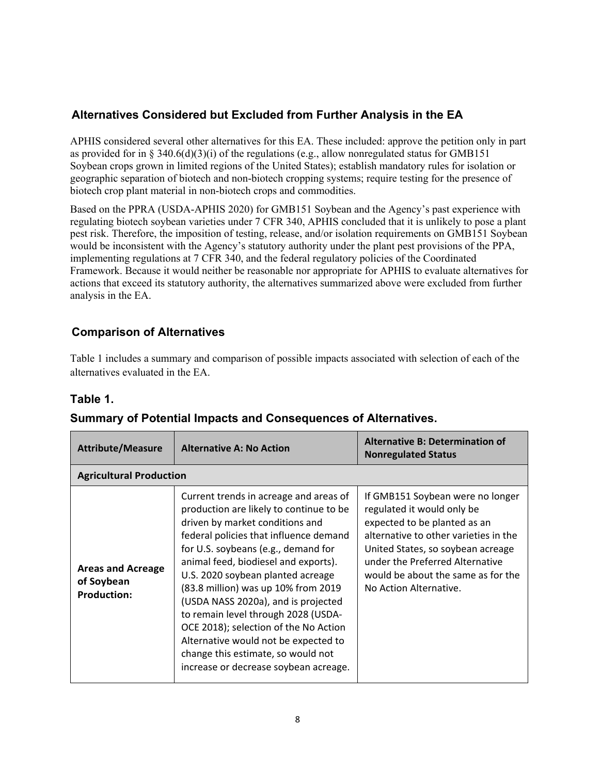### **Alternatives Considered but Excluded from Further Analysis in the EA**

APHIS considered several other alternatives for this EA. These included: approve the petition only in part as provided for in § 340.6(d)(3)(i) of the regulations (e.g., allow nonregulated status for GMB151 Soybean crops grown in limited regions of the United States); establish mandatory rules for isolation or geographic separation of biotech and non-biotech cropping systems; require testing for the presence of biotech crop plant material in non-biotech crops and commodities.

Based on the PPRA [\(USDA-APHIS 2020\)](#page-27-0) for GMB151 Soybean and the Agency's past experience with regulating biotech soybean varieties under 7 CFR 340, APHIS concluded that it is unlikely to pose a plant pest risk. Therefore, the imposition of testing, release, and/or isolation requirements on GMB151 Soybean would be inconsistent with the Agency's statutory authority under the plant pest provisions of the PPA, implementing regulations at 7 CFR 340, and the federal regulatory policies of the Coordinated Framework. Because it would neither be reasonable nor appropriate for APHIS to evaluate alternatives for actions that exceed its statutory authority, the alternatives summarized above were excluded from further analysis in the EA.

### **Comparison of Alternatives**

Table 1 includes a summary and comparison of possible impacts associated with selection of each of the alternatives evaluated in the EA.

### **Table 1.**

| <b>Attribute/Measure</b>                                     | <b>Alternative A: No Action</b>                                                                                                                                                                                                                                                                                                                                                                                                                                                                                                                                         | <b>Alternative B: Determination of</b><br><b>Nonregulated Status</b>                                                                                                                                                                                                            |
|--------------------------------------------------------------|-------------------------------------------------------------------------------------------------------------------------------------------------------------------------------------------------------------------------------------------------------------------------------------------------------------------------------------------------------------------------------------------------------------------------------------------------------------------------------------------------------------------------------------------------------------------------|---------------------------------------------------------------------------------------------------------------------------------------------------------------------------------------------------------------------------------------------------------------------------------|
| <b>Agricultural Production</b>                               |                                                                                                                                                                                                                                                                                                                                                                                                                                                                                                                                                                         |                                                                                                                                                                                                                                                                                 |
| <b>Areas and Acreage</b><br>of Soybean<br><b>Production:</b> | Current trends in acreage and areas of<br>production are likely to continue to be<br>driven by market conditions and<br>federal policies that influence demand<br>for U.S. soybeans (e.g., demand for<br>animal feed, biodiesel and exports).<br>U.S. 2020 soybean planted acreage<br>(83.8 million) was up 10% from 2019<br>(USDA NASS 2020a), and is projected<br>to remain level through 2028 (USDA-<br>OCE 2018); selection of the No Action<br>Alternative would not be expected to<br>change this estimate, so would not<br>increase or decrease soybean acreage. | If GMB151 Soybean were no longer<br>regulated it would only be<br>expected to be planted as an<br>alternative to other varieties in the<br>United States, so soybean acreage<br>under the Preferred Alternative<br>would be about the same as for the<br>No Action Alternative. |

### **Summary of Potential Impacts and Consequences of Alternatives.**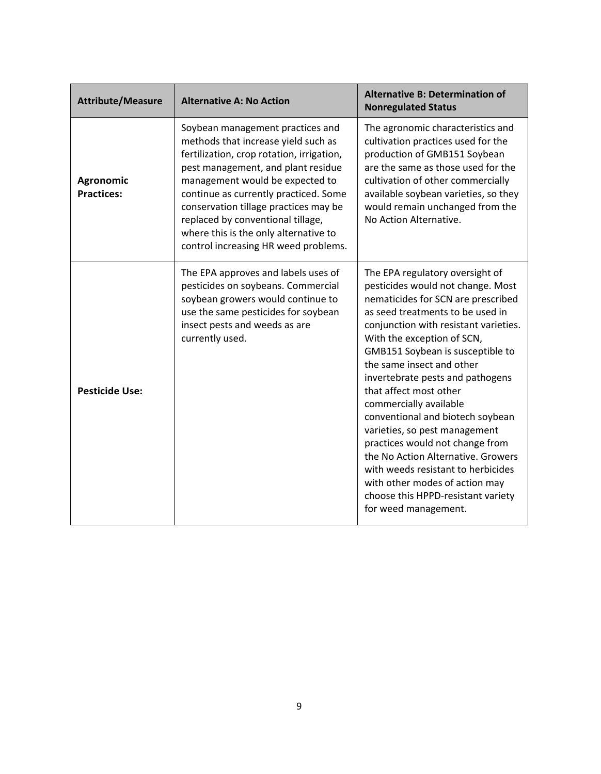| <b>Attribute/Measure</b>       | <b>Alternative A: No Action</b>                                                                                                                                                                                                                                                                                                                                                                       | <b>Alternative B: Determination of</b><br><b>Nonregulated Status</b>                                                                                                                                                                                                                                                                                                                                                                                                                                                                                                                                                                                               |
|--------------------------------|-------------------------------------------------------------------------------------------------------------------------------------------------------------------------------------------------------------------------------------------------------------------------------------------------------------------------------------------------------------------------------------------------------|--------------------------------------------------------------------------------------------------------------------------------------------------------------------------------------------------------------------------------------------------------------------------------------------------------------------------------------------------------------------------------------------------------------------------------------------------------------------------------------------------------------------------------------------------------------------------------------------------------------------------------------------------------------------|
| Agronomic<br><b>Practices:</b> | Soybean management practices and<br>methods that increase yield such as<br>fertilization, crop rotation, irrigation,<br>pest management, and plant residue<br>management would be expected to<br>continue as currently practiced. Some<br>conservation tillage practices may be<br>replaced by conventional tillage,<br>where this is the only alternative to<br>control increasing HR weed problems. | The agronomic characteristics and<br>cultivation practices used for the<br>production of GMB151 Soybean<br>are the same as those used for the<br>cultivation of other commercially<br>available soybean varieties, so they<br>would remain unchanged from the<br>No Action Alternative.                                                                                                                                                                                                                                                                                                                                                                            |
| <b>Pesticide Use:</b>          | The EPA approves and labels uses of<br>pesticides on soybeans. Commercial<br>soybean growers would continue to<br>use the same pesticides for soybean<br>insect pests and weeds as are<br>currently used.                                                                                                                                                                                             | The EPA regulatory oversight of<br>pesticides would not change. Most<br>nematicides for SCN are prescribed<br>as seed treatments to be used in<br>conjunction with resistant varieties.<br>With the exception of SCN,<br>GMB151 Soybean is susceptible to<br>the same insect and other<br>invertebrate pests and pathogens<br>that affect most other<br>commercially available<br>conventional and biotech soybean<br>varieties, so pest management<br>practices would not change from<br>the No Action Alternative. Growers<br>with weeds resistant to herbicides<br>with other modes of action may<br>choose this HPPD-resistant variety<br>for weed management. |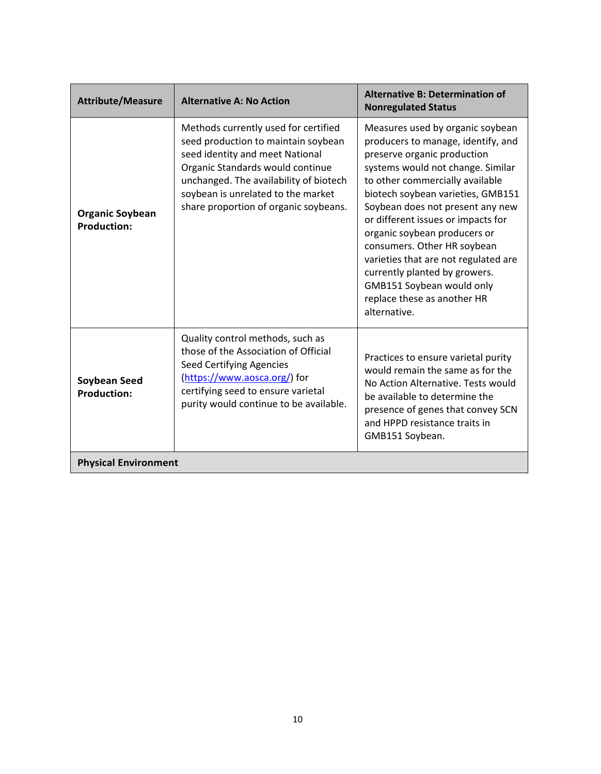| <b>Attribute/Measure</b>                     | <b>Alternative A: No Action</b>                                                                                                                                                                                                                                             | <b>Alternative B: Determination of</b><br><b>Nonregulated Status</b>                                                                                                                                                                                                                                                                                                                                                                                                                                             |
|----------------------------------------------|-----------------------------------------------------------------------------------------------------------------------------------------------------------------------------------------------------------------------------------------------------------------------------|------------------------------------------------------------------------------------------------------------------------------------------------------------------------------------------------------------------------------------------------------------------------------------------------------------------------------------------------------------------------------------------------------------------------------------------------------------------------------------------------------------------|
| <b>Organic Soybean</b><br><b>Production:</b> | Methods currently used for certified<br>seed production to maintain soybean<br>seed identity and meet National<br>Organic Standards would continue<br>unchanged. The availability of biotech<br>soybean is unrelated to the market<br>share proportion of organic soybeans. | Measures used by organic soybean<br>producers to manage, identify, and<br>preserve organic production<br>systems would not change. Similar<br>to other commercially available<br>biotech soybean varieties, GMB151<br>Soybean does not present any new<br>or different issues or impacts for<br>organic soybean producers or<br>consumers. Other HR soybean<br>varieties that are not regulated are<br>currently planted by growers.<br>GMB151 Soybean would only<br>replace these as another HR<br>alternative. |
| <b>Soybean Seed</b><br><b>Production:</b>    | Quality control methods, such as<br>those of the Association of Official<br>Seed Certifying Agencies<br>(https://www.aosca.org/) for<br>certifying seed to ensure varietal<br>purity would continue to be available.                                                        | Practices to ensure varietal purity<br>would remain the same as for the<br>No Action Alternative. Tests would<br>be available to determine the<br>presence of genes that convey SCN<br>and HPPD resistance traits in<br>GMB151 Soybean.                                                                                                                                                                                                                                                                          |
| <b>Physical Environment</b>                  |                                                                                                                                                                                                                                                                             |                                                                                                                                                                                                                                                                                                                                                                                                                                                                                                                  |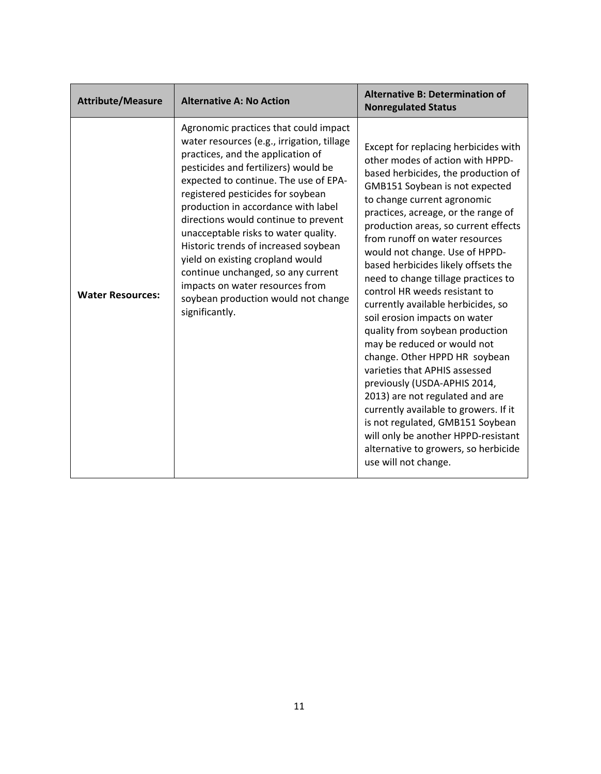| <b>Attribute/Measure</b> | <b>Alternative A: No Action</b>                                                                                                                                                                                                                                                                                                                                                                                                                                                                                                                                                     | <b>Alternative B: Determination of</b><br><b>Nonregulated Status</b>                                                                                                                                                                                                                                                                                                                                                                                                                                                                                                                                                                                                                                                                                                                                                                                                                                                 |
|--------------------------|-------------------------------------------------------------------------------------------------------------------------------------------------------------------------------------------------------------------------------------------------------------------------------------------------------------------------------------------------------------------------------------------------------------------------------------------------------------------------------------------------------------------------------------------------------------------------------------|----------------------------------------------------------------------------------------------------------------------------------------------------------------------------------------------------------------------------------------------------------------------------------------------------------------------------------------------------------------------------------------------------------------------------------------------------------------------------------------------------------------------------------------------------------------------------------------------------------------------------------------------------------------------------------------------------------------------------------------------------------------------------------------------------------------------------------------------------------------------------------------------------------------------|
| <b>Water Resources:</b>  | Agronomic practices that could impact<br>water resources (e.g., irrigation, tillage<br>practices, and the application of<br>pesticides and fertilizers) would be<br>expected to continue. The use of EPA-<br>registered pesticides for soybean<br>production in accordance with label<br>directions would continue to prevent<br>unacceptable risks to water quality.<br>Historic trends of increased soybean<br>yield on existing cropland would<br>continue unchanged, so any current<br>impacts on water resources from<br>soybean production would not change<br>significantly. | Except for replacing herbicides with<br>other modes of action with HPPD-<br>based herbicides, the production of<br>GMB151 Soybean is not expected<br>to change current agronomic<br>practices, acreage, or the range of<br>production areas, so current effects<br>from runoff on water resources<br>would not change. Use of HPPD-<br>based herbicides likely offsets the<br>need to change tillage practices to<br>control HR weeds resistant to<br>currently available herbicides, so<br>soil erosion impacts on water<br>quality from soybean production<br>may be reduced or would not<br>change. Other HPPD HR soybean<br>varieties that APHIS assessed<br>previously (USDA-APHIS 2014,<br>2013) are not regulated and are<br>currently available to growers. If it<br>is not regulated, GMB151 Soybean<br>will only be another HPPD-resistant<br>alternative to growers, so herbicide<br>use will not change. |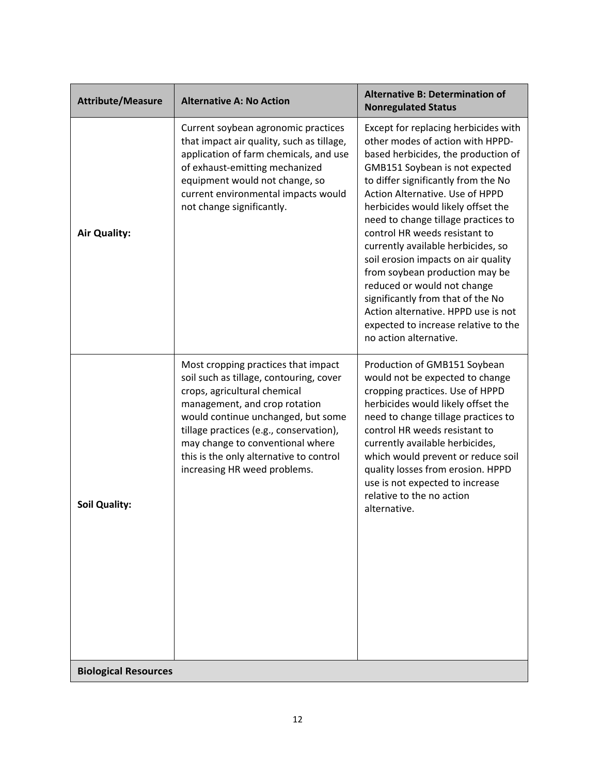| <b>Attribute/Measure</b>    | <b>Alternative A: No Action</b>                                                                                                                                                                                                                                                                                                                 | <b>Alternative B: Determination of</b><br><b>Nonregulated Status</b>                                                                                                                                                                                                                                                                                                                                                                                                                                                                                                                                                                  |
|-----------------------------|-------------------------------------------------------------------------------------------------------------------------------------------------------------------------------------------------------------------------------------------------------------------------------------------------------------------------------------------------|---------------------------------------------------------------------------------------------------------------------------------------------------------------------------------------------------------------------------------------------------------------------------------------------------------------------------------------------------------------------------------------------------------------------------------------------------------------------------------------------------------------------------------------------------------------------------------------------------------------------------------------|
| <b>Air Quality:</b>         | Current soybean agronomic practices<br>that impact air quality, such as tillage,<br>application of farm chemicals, and use<br>of exhaust-emitting mechanized<br>equipment would not change, so<br>current environmental impacts would<br>not change significantly.                                                                              | Except for replacing herbicides with<br>other modes of action with HPPD-<br>based herbicides, the production of<br>GMB151 Soybean is not expected<br>to differ significantly from the No<br>Action Alternative. Use of HPPD<br>herbicides would likely offset the<br>need to change tillage practices to<br>control HR weeds resistant to<br>currently available herbicides, so<br>soil erosion impacts on air quality<br>from soybean production may be<br>reduced or would not change<br>significantly from that of the No<br>Action alternative. HPPD use is not<br>expected to increase relative to the<br>no action alternative. |
| <b>Soil Quality:</b>        | Most cropping practices that impact<br>soil such as tillage, contouring, cover<br>crops, agricultural chemical<br>management, and crop rotation<br>would continue unchanged, but some<br>tillage practices (e.g., conservation),<br>may change to conventional where<br>this is the only alternative to control<br>increasing HR weed problems. | Production of GMB151 Soybean<br>would not be expected to change<br>cropping practices. Use of HPPD<br>herbicides would likely offset the<br>need to change tillage practices to<br>control HR weeds resistant to<br>currently available herbicides,<br>which would prevent or reduce soil<br>quality losses from erosion. HPPD<br>use is not expected to increase<br>relative to the no action<br>alternative.                                                                                                                                                                                                                        |
| <b>Biological Resources</b> |                                                                                                                                                                                                                                                                                                                                                 |                                                                                                                                                                                                                                                                                                                                                                                                                                                                                                                                                                                                                                       |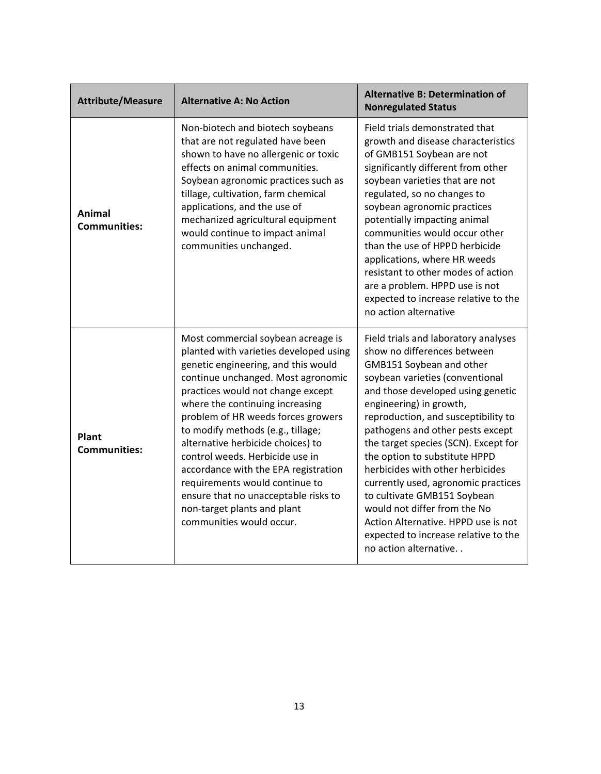| <b>Attribute/Measure</b>      | <b>Alternative A: No Action</b>                                                                                                                                                                                                                                                                                                                                                                                                                                                                                                                                   | <b>Alternative B: Determination of</b><br><b>Nonregulated Status</b>                                                                                                                                                                                                                                                                                                                                                                                                                                                                                                                                     |
|-------------------------------|-------------------------------------------------------------------------------------------------------------------------------------------------------------------------------------------------------------------------------------------------------------------------------------------------------------------------------------------------------------------------------------------------------------------------------------------------------------------------------------------------------------------------------------------------------------------|----------------------------------------------------------------------------------------------------------------------------------------------------------------------------------------------------------------------------------------------------------------------------------------------------------------------------------------------------------------------------------------------------------------------------------------------------------------------------------------------------------------------------------------------------------------------------------------------------------|
| Animal<br><b>Communities:</b> | Non-biotech and biotech soybeans<br>that are not regulated have been<br>shown to have no allergenic or toxic<br>effects on animal communities.<br>Soybean agronomic practices such as<br>tillage, cultivation, farm chemical<br>applications, and the use of<br>mechanized agricultural equipment<br>would continue to impact animal<br>communities unchanged.                                                                                                                                                                                                    | Field trials demonstrated that<br>growth and disease characteristics<br>of GMB151 Soybean are not<br>significantly different from other<br>soybean varieties that are not<br>regulated, so no changes to<br>soybean agronomic practices<br>potentially impacting animal<br>communities would occur other<br>than the use of HPPD herbicide<br>applications, where HR weeds<br>resistant to other modes of action<br>are a problem. HPPD use is not<br>expected to increase relative to the<br>no action alternative                                                                                      |
| Plant<br><b>Communities:</b>  | Most commercial soybean acreage is<br>planted with varieties developed using<br>genetic engineering, and this would<br>continue unchanged. Most agronomic<br>practices would not change except<br>where the continuing increasing<br>problem of HR weeds forces growers<br>to modify methods (e.g., tillage;<br>alternative herbicide choices) to<br>control weeds. Herbicide use in<br>accordance with the EPA registration<br>requirements would continue to<br>ensure that no unacceptable risks to<br>non-target plants and plant<br>communities would occur. | Field trials and laboratory analyses<br>show no differences between<br>GMB151 Soybean and other<br>soybean varieties (conventional<br>and those developed using genetic<br>engineering) in growth,<br>reproduction, and susceptibility to<br>pathogens and other pests except<br>the target species (SCN). Except for<br>the option to substitute HPPD<br>herbicides with other herbicides<br>currently used, agronomic practices<br>to cultivate GMB151 Soybean<br>would not differ from the No<br>Action Alternative. HPPD use is not<br>expected to increase relative to the<br>no action alternative |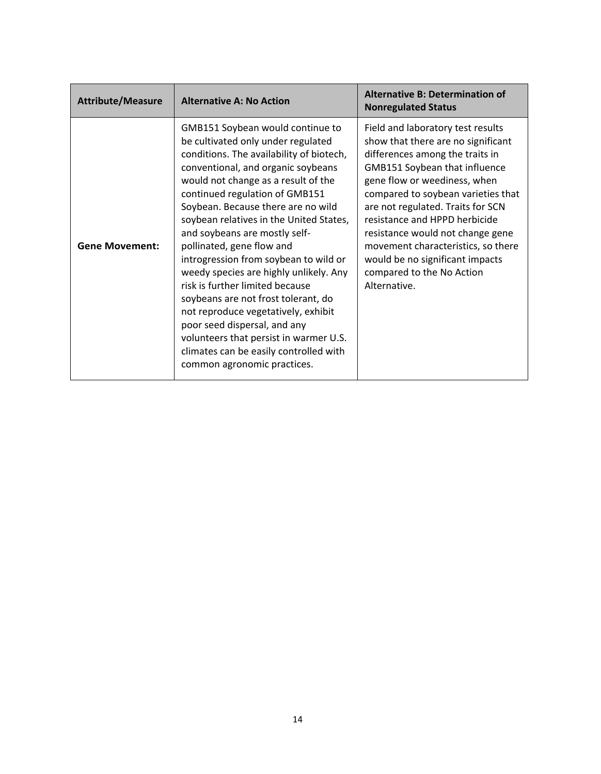| <b>Attribute/Measure</b> | <b>Alternative A: No Action</b>                                                                                                                                                                                                                                                                                                                                                                                                                                                                                                                                                                                                                                                                                                         | <b>Alternative B: Determination of</b><br><b>Nonregulated Status</b>                                                                                                                                                                                                                                                                                                                                                                                     |
|--------------------------|-----------------------------------------------------------------------------------------------------------------------------------------------------------------------------------------------------------------------------------------------------------------------------------------------------------------------------------------------------------------------------------------------------------------------------------------------------------------------------------------------------------------------------------------------------------------------------------------------------------------------------------------------------------------------------------------------------------------------------------------|----------------------------------------------------------------------------------------------------------------------------------------------------------------------------------------------------------------------------------------------------------------------------------------------------------------------------------------------------------------------------------------------------------------------------------------------------------|
| <b>Gene Movement:</b>    | GMB151 Soybean would continue to<br>be cultivated only under regulated<br>conditions. The availability of biotech,<br>conventional, and organic soybeans<br>would not change as a result of the<br>continued regulation of GMB151<br>Soybean. Because there are no wild<br>soybean relatives in the United States,<br>and soybeans are mostly self-<br>pollinated, gene flow and<br>introgression from soybean to wild or<br>weedy species are highly unlikely. Any<br>risk is further limited because<br>soybeans are not frost tolerant, do<br>not reproduce vegetatively, exhibit<br>poor seed dispersal, and any<br>volunteers that persist in warmer U.S.<br>climates can be easily controlled with<br>common agronomic practices. | Field and laboratory test results<br>show that there are no significant<br>differences among the traits in<br><b>GMB151 Soybean that influence</b><br>gene flow or weediness, when<br>compared to soybean varieties that<br>are not regulated. Traits for SCN<br>resistance and HPPD herbicide<br>resistance would not change gene<br>movement characteristics, so there<br>would be no significant impacts<br>compared to the No Action<br>Alternative. |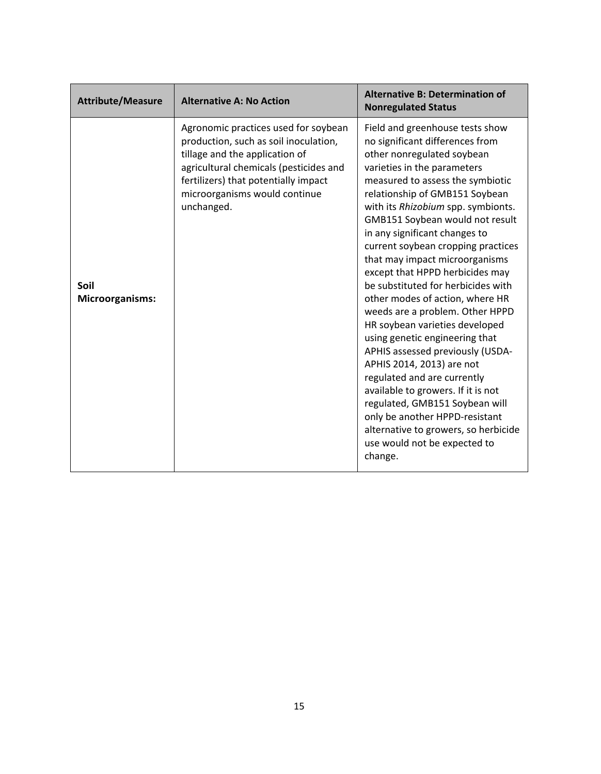| <b>Attribute/Measure</b>       | <b>Alternative A: No Action</b>                                                                                                                                                                                                                  | <b>Alternative B: Determination of</b><br><b>Nonregulated Status</b>                                                                                                                                                                                                                                                                                                                                                                                                                                                                                                                                                                                                                                                                                                                                                                                                                                    |
|--------------------------------|--------------------------------------------------------------------------------------------------------------------------------------------------------------------------------------------------------------------------------------------------|---------------------------------------------------------------------------------------------------------------------------------------------------------------------------------------------------------------------------------------------------------------------------------------------------------------------------------------------------------------------------------------------------------------------------------------------------------------------------------------------------------------------------------------------------------------------------------------------------------------------------------------------------------------------------------------------------------------------------------------------------------------------------------------------------------------------------------------------------------------------------------------------------------|
| Soil<br><b>Microorganisms:</b> | Agronomic practices used for soybean<br>production, such as soil inoculation,<br>tillage and the application of<br>agricultural chemicals (pesticides and<br>fertilizers) that potentially impact<br>microorganisms would continue<br>unchanged. | Field and greenhouse tests show<br>no significant differences from<br>other nonregulated soybean<br>varieties in the parameters<br>measured to assess the symbiotic<br>relationship of GMB151 Soybean<br>with its Rhizobium spp. symbionts.<br>GMB151 Soybean would not result<br>in any significant changes to<br>current soybean cropping practices<br>that may impact microorganisms<br>except that HPPD herbicides may<br>be substituted for herbicides with<br>other modes of action, where HR<br>weeds are a problem. Other HPPD<br>HR soybean varieties developed<br>using genetic engineering that<br>APHIS assessed previously (USDA-<br>APHIS 2014, 2013) are not<br>regulated and are currently<br>available to growers. If it is not<br>regulated, GMB151 Soybean will<br>only be another HPPD-resistant<br>alternative to growers, so herbicide<br>use would not be expected to<br>change. |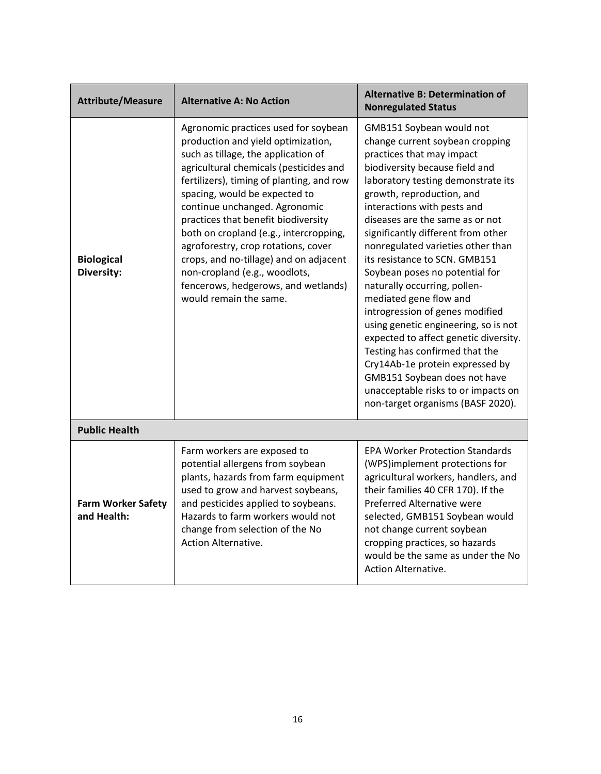| <b>Attribute/Measure</b>                 | <b>Alternative A: No Action</b>                                                                                                                                                                                                                                                                                                                                                                                                                                                                                                                | <b>Alternative B: Determination of</b><br><b>Nonregulated Status</b>                                                                                                                                                                                                                                                                                                                                                                                                                                                                                                                                                                                                                                                                                                         |
|------------------------------------------|------------------------------------------------------------------------------------------------------------------------------------------------------------------------------------------------------------------------------------------------------------------------------------------------------------------------------------------------------------------------------------------------------------------------------------------------------------------------------------------------------------------------------------------------|------------------------------------------------------------------------------------------------------------------------------------------------------------------------------------------------------------------------------------------------------------------------------------------------------------------------------------------------------------------------------------------------------------------------------------------------------------------------------------------------------------------------------------------------------------------------------------------------------------------------------------------------------------------------------------------------------------------------------------------------------------------------------|
| <b>Biological</b><br>Diversity:          | Agronomic practices used for soybean<br>production and yield optimization,<br>such as tillage, the application of<br>agricultural chemicals (pesticides and<br>fertilizers), timing of planting, and row<br>spacing, would be expected to<br>continue unchanged. Agronomic<br>practices that benefit biodiversity<br>both on cropland (e.g., intercropping,<br>agroforestry, crop rotations, cover<br>crops, and no-tillage) and on adjacent<br>non-cropland (e.g., woodlots,<br>fencerows, hedgerows, and wetlands)<br>would remain the same. | GMB151 Soybean would not<br>change current soybean cropping<br>practices that may impact<br>biodiversity because field and<br>laboratory testing demonstrate its<br>growth, reproduction, and<br>interactions with pests and<br>diseases are the same as or not<br>significantly different from other<br>nonregulated varieties other than<br>its resistance to SCN. GMB151<br>Soybean poses no potential for<br>naturally occurring, pollen-<br>mediated gene flow and<br>introgression of genes modified<br>using genetic engineering, so is not<br>expected to affect genetic diversity.<br>Testing has confirmed that the<br>Cry14Ab-1e protein expressed by<br>GMB151 Soybean does not have<br>unacceptable risks to or impacts on<br>non-target organisms (BASF 2020). |
| <b>Public Health</b>                     |                                                                                                                                                                                                                                                                                                                                                                                                                                                                                                                                                |                                                                                                                                                                                                                                                                                                                                                                                                                                                                                                                                                                                                                                                                                                                                                                              |
| <b>Farm Worker Safety</b><br>and Health: | Farm workers are exposed to<br>potential allergens from soybean<br>plants, hazards from farm equipment<br>used to grow and harvest soybeans,<br>and pesticides applied to soybeans.<br>Hazards to farm workers would not<br>change from selection of the No<br><b>Action Alternative.</b>                                                                                                                                                                                                                                                      | <b>EPA Worker Protection Standards</b><br>(WPS)implement protections for<br>agricultural workers, handlers, and<br>their families 40 CFR 170). If the<br>Preferred Alternative were<br>selected, GMB151 Soybean would<br>not change current soybean<br>cropping practices, so hazards<br>would be the same as under the No<br><b>Action Alternative.</b>                                                                                                                                                                                                                                                                                                                                                                                                                     |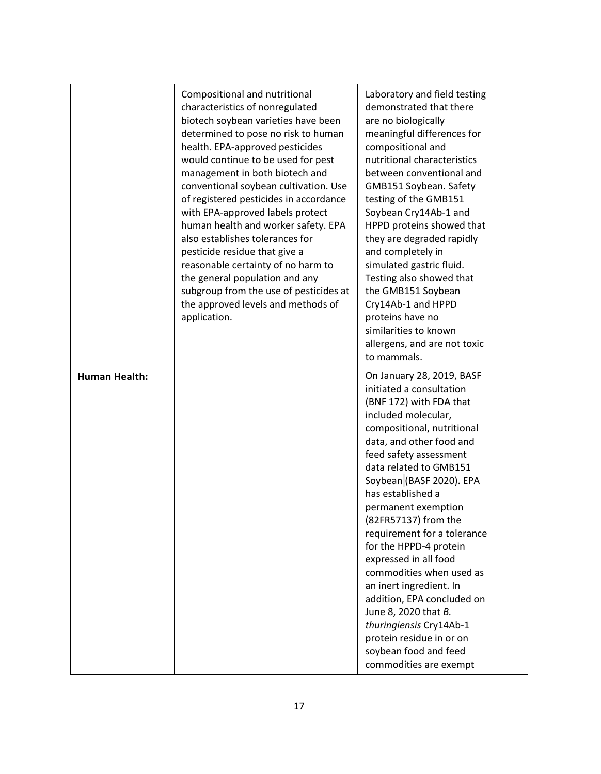|                      | Compositional and nutritional<br>characteristics of nonregulated<br>biotech soybean varieties have been<br>determined to pose no risk to human<br>health. EPA-approved pesticides<br>would continue to be used for pest<br>management in both biotech and<br>conventional soybean cultivation. Use<br>of registered pesticides in accordance<br>with EPA-approved labels protect<br>human health and worker safety. EPA<br>also establishes tolerances for<br>pesticide residue that give a<br>reasonable certainty of no harm to<br>the general population and any<br>subgroup from the use of pesticides at<br>the approved levels and methods of<br>application. | Laboratory and field testing<br>demonstrated that there<br>are no biologically<br>meaningful differences for<br>compositional and<br>nutritional characteristics<br>between conventional and<br>GMB151 Soybean. Safety<br>testing of the GMB151<br>Soybean Cry14Ab-1 and<br>HPPD proteins showed that<br>they are degraded rapidly<br>and completely in<br>simulated gastric fluid.<br>Testing also showed that<br>the GMB151 Soybean<br>Cry14Ab-1 and HPPD<br>proteins have no<br>similarities to known<br>allergens, and are not toxic<br>to mammals.                                                                        |
|----------------------|---------------------------------------------------------------------------------------------------------------------------------------------------------------------------------------------------------------------------------------------------------------------------------------------------------------------------------------------------------------------------------------------------------------------------------------------------------------------------------------------------------------------------------------------------------------------------------------------------------------------------------------------------------------------|--------------------------------------------------------------------------------------------------------------------------------------------------------------------------------------------------------------------------------------------------------------------------------------------------------------------------------------------------------------------------------------------------------------------------------------------------------------------------------------------------------------------------------------------------------------------------------------------------------------------------------|
| <b>Human Health:</b> |                                                                                                                                                                                                                                                                                                                                                                                                                                                                                                                                                                                                                                                                     | On January 28, 2019, BASF<br>initiated a consultation<br>(BNF 172) with FDA that<br>included molecular,<br>compositional, nutritional<br>data, and other food and<br>feed safety assessment<br>data related to GMB151<br>Soybean (BASF 2020). EPA<br>has established a<br>permanent exemption<br>(82FR57137) from the<br>requirement for a tolerance<br>for the HPPD-4 protein<br>expressed in all food<br>commodities when used as<br>an inert ingredient. In<br>addition, EPA concluded on<br>June 8, 2020 that B.<br>thuringiensis Cry14Ab-1<br>protein residue in or on<br>soybean food and feed<br>commodities are exempt |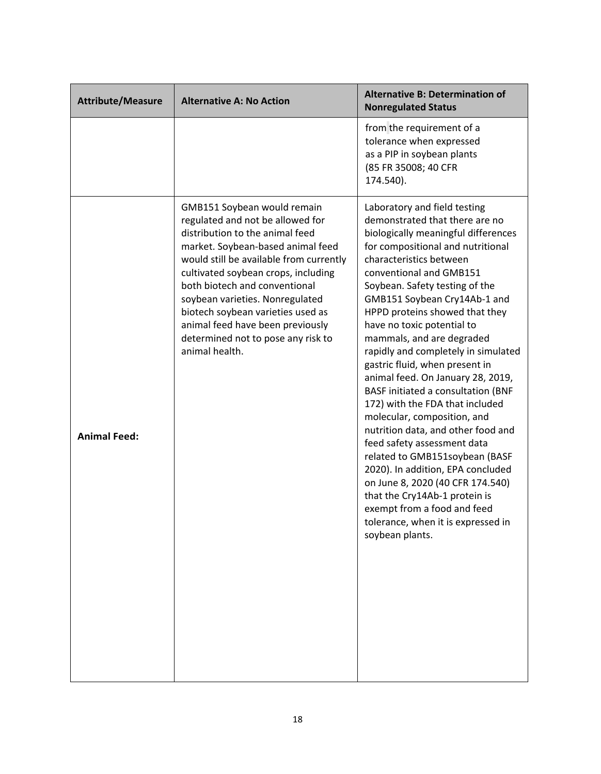| <b>Attribute/Measure</b> | <b>Alternative A: No Action</b>                                                                                                                                                                                                                                                                                                                                                                                                | <b>Alternative B: Determination of</b><br><b>Nonregulated Status</b>                                                                                                                                                                                                                                                                                                                                                                                                                                                                                                                                                                                                                                                                                                                                                                                                                           |
|--------------------------|--------------------------------------------------------------------------------------------------------------------------------------------------------------------------------------------------------------------------------------------------------------------------------------------------------------------------------------------------------------------------------------------------------------------------------|------------------------------------------------------------------------------------------------------------------------------------------------------------------------------------------------------------------------------------------------------------------------------------------------------------------------------------------------------------------------------------------------------------------------------------------------------------------------------------------------------------------------------------------------------------------------------------------------------------------------------------------------------------------------------------------------------------------------------------------------------------------------------------------------------------------------------------------------------------------------------------------------|
|                          |                                                                                                                                                                                                                                                                                                                                                                                                                                | from the requirement of a<br>tolerance when expressed<br>as a PIP in soybean plants<br>(85 FR 35008; 40 CFR<br>174.540).                                                                                                                                                                                                                                                                                                                                                                                                                                                                                                                                                                                                                                                                                                                                                                       |
| <b>Animal Feed:</b>      | GMB151 Soybean would remain<br>regulated and not be allowed for<br>distribution to the animal feed<br>market. Soybean-based animal feed<br>would still be available from currently<br>cultivated soybean crops, including<br>both biotech and conventional<br>soybean varieties. Nonregulated<br>biotech soybean varieties used as<br>animal feed have been previously<br>determined not to pose any risk to<br>animal health. | Laboratory and field testing<br>demonstrated that there are no<br>biologically meaningful differences<br>for compositional and nutritional<br>characteristics between<br>conventional and GMB151<br>Soybean. Safety testing of the<br>GMB151 Soybean Cry14Ab-1 and<br>HPPD proteins showed that they<br>have no toxic potential to<br>mammals, and are degraded<br>rapidly and completely in simulated<br>gastric fluid, when present in<br>animal feed. On January 28, 2019,<br>BASF initiated a consultation (BNF<br>172) with the FDA that included<br>molecular, composition, and<br>nutrition data, and other food and<br>feed safety assessment data<br>related to GMB151soybean (BASF<br>2020). In addition, EPA concluded<br>on June 8, 2020 (40 CFR 174.540)<br>that the Cry14Ab-1 protein is<br>exempt from a food and feed<br>tolerance, when it is expressed in<br>soybean plants. |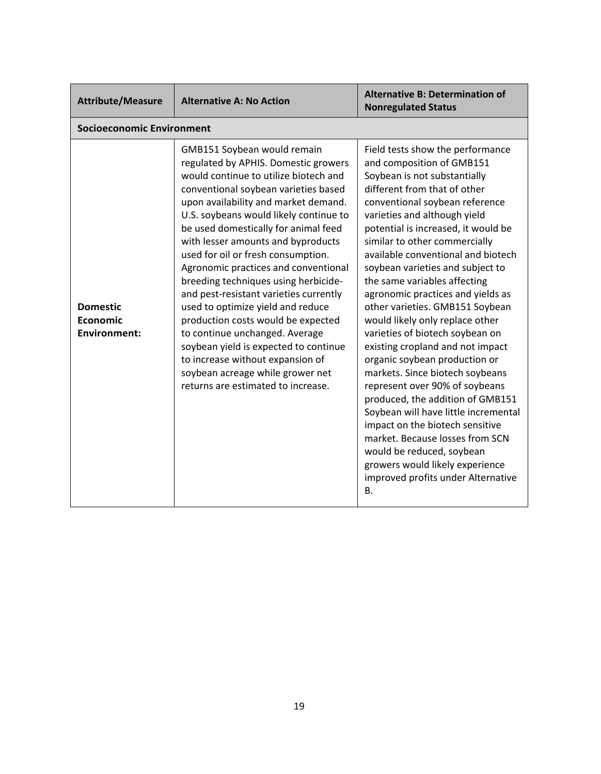| <b>Attribute/Measure</b>                                  | <b>Alternative A: No Action</b>                                                                                                                                                                                                                                                                                                                                                                                                                                                                                                                                                                                                                                                                                                                          | <b>Alternative B: Determination of</b><br><b>Nonregulated Status</b>                                                                                                                                                                                                                                                                                                                                                                                                                                                                                                                                                                                                                                                                                                                                                                                                                                                                           |
|-----------------------------------------------------------|----------------------------------------------------------------------------------------------------------------------------------------------------------------------------------------------------------------------------------------------------------------------------------------------------------------------------------------------------------------------------------------------------------------------------------------------------------------------------------------------------------------------------------------------------------------------------------------------------------------------------------------------------------------------------------------------------------------------------------------------------------|------------------------------------------------------------------------------------------------------------------------------------------------------------------------------------------------------------------------------------------------------------------------------------------------------------------------------------------------------------------------------------------------------------------------------------------------------------------------------------------------------------------------------------------------------------------------------------------------------------------------------------------------------------------------------------------------------------------------------------------------------------------------------------------------------------------------------------------------------------------------------------------------------------------------------------------------|
| <b>Socioeconomic Environment</b>                          |                                                                                                                                                                                                                                                                                                                                                                                                                                                                                                                                                                                                                                                                                                                                                          |                                                                                                                                                                                                                                                                                                                                                                                                                                                                                                                                                                                                                                                                                                                                                                                                                                                                                                                                                |
| <b>Domestic</b><br><b>Economic</b><br><b>Environment:</b> | GMB151 Soybean would remain<br>regulated by APHIS. Domestic growers<br>would continue to utilize biotech and<br>conventional soybean varieties based<br>upon availability and market demand.<br>U.S. soybeans would likely continue to<br>be used domestically for animal feed<br>with lesser amounts and byproducts<br>used for oil or fresh consumption.<br>Agronomic practices and conventional<br>breeding techniques using herbicide-<br>and pest-resistant varieties currently<br>used to optimize yield and reduce<br>production costs would be expected<br>to continue unchanged. Average<br>soybean yield is expected to continue<br>to increase without expansion of<br>soybean acreage while grower net<br>returns are estimated to increase. | Field tests show the performance<br>and composition of GMB151<br>Soybean is not substantially<br>different from that of other<br>conventional soybean reference<br>varieties and although yield<br>potential is increased, it would be<br>similar to other commercially<br>available conventional and biotech<br>soybean varieties and subject to<br>the same variables affecting<br>agronomic practices and yields as<br>other varieties. GMB151 Soybean<br>would likely only replace other<br>varieties of biotech soybean on<br>existing cropland and not impact<br>organic soybean production or<br>markets. Since biotech soybeans<br>represent over 90% of soybeans<br>produced, the addition of GMB151<br>Soybean will have little incremental<br>impact on the biotech sensitive<br>market. Because losses from SCN<br>would be reduced, soybean<br>growers would likely experience<br>improved profits under Alternative<br><b>B.</b> |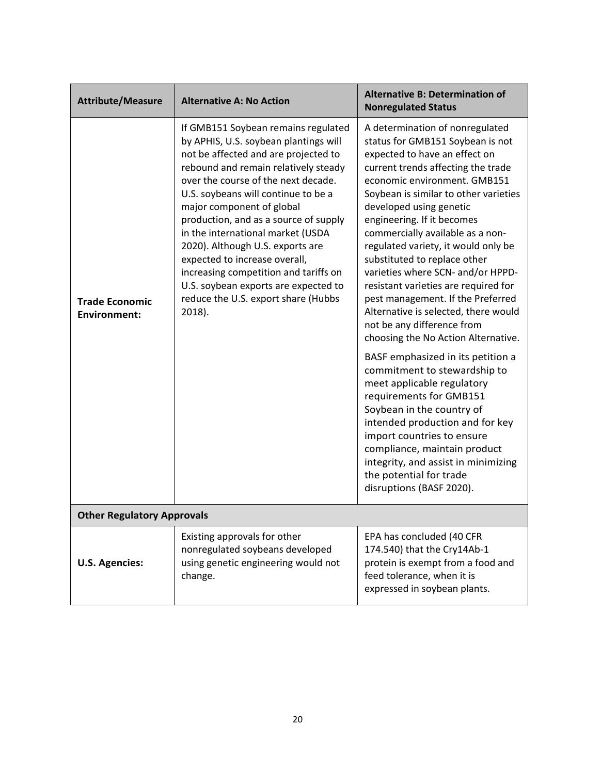| <b>Attribute/Measure</b>                     | <b>Alternative A: No Action</b>                                                                                                                                                                                                                                                                                                                                                                                                                                                                                                                              | <b>Alternative B: Determination of</b><br><b>Nonregulated Status</b>                                                                                                                                                                                                                                                                                                                                                                                                                                                                                                                                                                                                                                                                                                                                                                                                                                                                                                             |
|----------------------------------------------|--------------------------------------------------------------------------------------------------------------------------------------------------------------------------------------------------------------------------------------------------------------------------------------------------------------------------------------------------------------------------------------------------------------------------------------------------------------------------------------------------------------------------------------------------------------|----------------------------------------------------------------------------------------------------------------------------------------------------------------------------------------------------------------------------------------------------------------------------------------------------------------------------------------------------------------------------------------------------------------------------------------------------------------------------------------------------------------------------------------------------------------------------------------------------------------------------------------------------------------------------------------------------------------------------------------------------------------------------------------------------------------------------------------------------------------------------------------------------------------------------------------------------------------------------------|
| <b>Trade Economic</b><br><b>Environment:</b> | If GMB151 Soybean remains regulated<br>by APHIS, U.S. soybean plantings will<br>not be affected and are projected to<br>rebound and remain relatively steady<br>over the course of the next decade.<br>U.S. soybeans will continue to be a<br>major component of global<br>production, and as a source of supply<br>in the international market (USDA<br>2020). Although U.S. exports are<br>expected to increase overall,<br>increasing competition and tariffs on<br>U.S. soybean exports are expected to<br>reduce the U.S. export share (Hubbs<br>2018). | A determination of nonregulated<br>status for GMB151 Soybean is not<br>expected to have an effect on<br>current trends affecting the trade<br>economic environment. GMB151<br>Soybean is similar to other varieties<br>developed using genetic<br>engineering. If it becomes<br>commercially available as a non-<br>regulated variety, it would only be<br>substituted to replace other<br>varieties where SCN- and/or HPPD-<br>resistant varieties are required for<br>pest management. If the Preferred<br>Alternative is selected, there would<br>not be any difference from<br>choosing the No Action Alternative.<br>BASF emphasized in its petition a<br>commitment to stewardship to<br>meet applicable regulatory<br>requirements for GMB151<br>Soybean in the country of<br>intended production and for key<br>import countries to ensure<br>compliance, maintain product<br>integrity, and assist in minimizing<br>the potential for trade<br>disruptions (BASF 2020). |
| <b>Other Regulatory Approvals</b>            |                                                                                                                                                                                                                                                                                                                                                                                                                                                                                                                                                              |                                                                                                                                                                                                                                                                                                                                                                                                                                                                                                                                                                                                                                                                                                                                                                                                                                                                                                                                                                                  |
| <b>U.S. Agencies:</b>                        | Existing approvals for other<br>nonregulated soybeans developed<br>using genetic engineering would not<br>change.                                                                                                                                                                                                                                                                                                                                                                                                                                            | EPA has concluded (40 CFR<br>174.540) that the Cry14Ab-1<br>protein is exempt from a food and<br>feed tolerance, when it is<br>expressed in soybean plants.                                                                                                                                                                                                                                                                                                                                                                                                                                                                                                                                                                                                                                                                                                                                                                                                                      |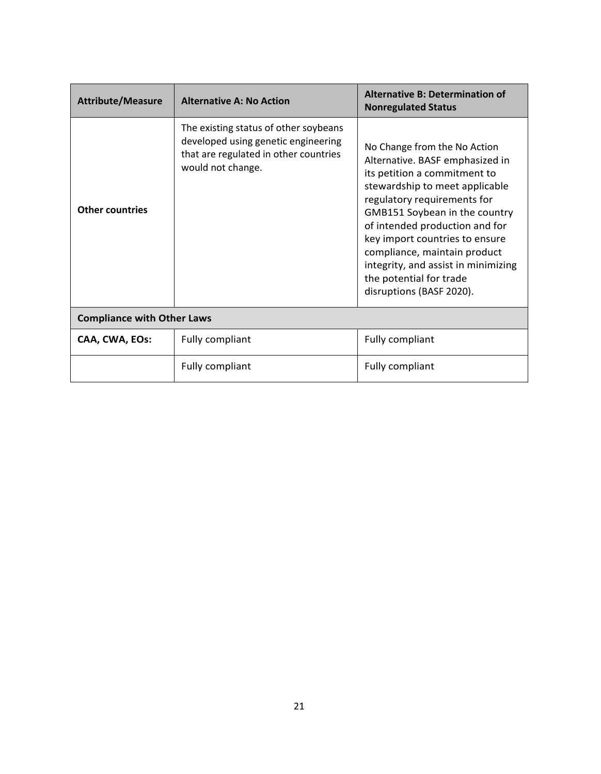| <b>Attribute/Measure</b>          | <b>Alternative A: No Action</b>                                                                                                            | <b>Alternative B: Determination of</b><br><b>Nonregulated Status</b>                                                                                                                                                                                                                                                                                                                                |  |
|-----------------------------------|--------------------------------------------------------------------------------------------------------------------------------------------|-----------------------------------------------------------------------------------------------------------------------------------------------------------------------------------------------------------------------------------------------------------------------------------------------------------------------------------------------------------------------------------------------------|--|
| <b>Other countries</b>            | The existing status of other soybeans<br>developed using genetic engineering<br>that are regulated in other countries<br>would not change. | No Change from the No Action<br>Alternative. BASF emphasized in<br>its petition a commitment to<br>stewardship to meet applicable<br>regulatory requirements for<br>GMB151 Soybean in the country<br>of intended production and for<br>key import countries to ensure<br>compliance, maintain product<br>integrity, and assist in minimizing<br>the potential for trade<br>disruptions (BASF 2020). |  |
| <b>Compliance with Other Laws</b> |                                                                                                                                            |                                                                                                                                                                                                                                                                                                                                                                                                     |  |
| CAA, CWA, EOs:                    | Fully compliant                                                                                                                            | Fully compliant                                                                                                                                                                                                                                                                                                                                                                                     |  |
|                                   | Fully compliant                                                                                                                            | <b>Fully compliant</b>                                                                                                                                                                                                                                                                                                                                                                              |  |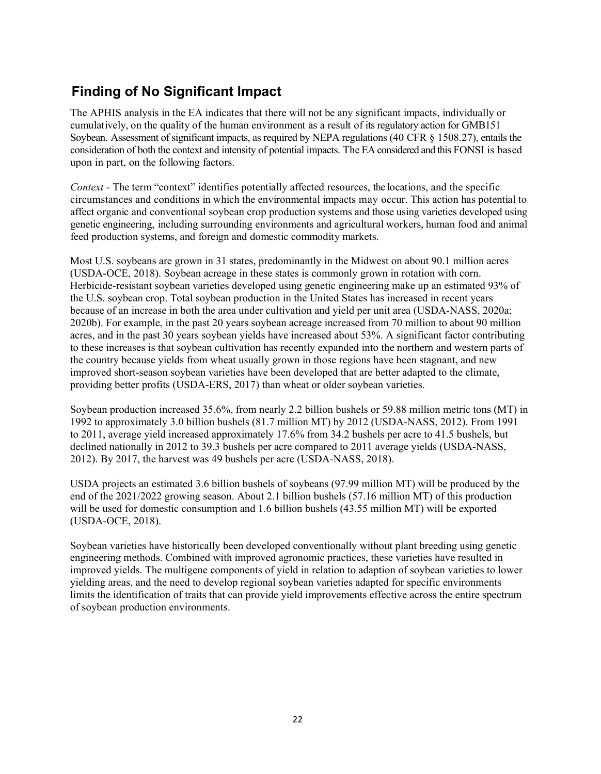# **Finding of No Significant Impact**

The APHIS analysis in the EA indicates that there will not be any significant impacts, individually or cumulatively, on the quality of the human environment as a result of its regulatory action for GMB151 Soybean. Assessment of significant impacts, as required by NEPA regulations (40 CFR § 1508.27), entails the consideration of both the context and intensity of potential impacts. The EA considered and this FONSI is based upon in part, on the following factors.

*Context* - The term "context" identifies potentially affected resources, the locations, and the specific circumstances and conditions in which the environmental impacts may occur. This action has potential to affect organic and conventional soybean crop production systems and those using varieties developed using genetic engineering, including surrounding environments and agricultural workers, human food and animal feed production systems, and foreign and domestic commodity markets.

Most U.S. soybeans are grown in 31 states, predominantly in the Midwest on about 90.1 million acres (USDA-OCE, 2018). Soybean acreage in these states is commonly grown in rotation with corn. Herbicide-resistant soybean varieties developed using genetic engineering make up an estimated 93% of the U.S. soybean crop. Total soybean production in the United States has increased in recent years because of an increase in both the area under cultivation and yield per unit area (USDA-NASS, 2020a; 2020b). For example, in the past 20 years soybean acreage increased from 70 million to about 90 million acres, and in the past 30 years soybean yields have increased about 53%. A significant factor contributing to these increases is that soybean cultivation has recently expanded into the northern and western parts of the country because yields from wheat usually grown in those regions have been stagnant, and new improved short-season soybean varieties have been developed that are better adapted to the climate, providing better profits (USDA-ERS, 2017) than wheat or older soybean varieties.

Soybean production increased 35.6%, from nearly 2.2 billion bushels or 59.88 million metric tons (MT) in 1992 to approximately 3.0 billion bushels (81.7 million MT) by 2012 (USDA-NASS, 2012). From 1991 to 2011, average yield increased approximately 17.6% from 34.2 bushels per acre to 41.5 bushels, but declined nationally in 2012 to 39.3 bushels per acre compared to 2011 average yields (USDA-NASS, 2012). By 2017, the harvest was 49 bushels per acre (USDA-NASS, 2018).

USDA projects an estimated 3.6 billion bushels of soybeans (97.99 million MT) will be produced by the end of the 2021/2022 growing season. About 2.1 billion bushels (57.16 million MT) of this production will be used for domestic consumption and 1.6 billion bushels (43.55 million MT) will be exported (USDA-OCE, 2018).

Soybean varieties have historically been developed conventionally without plant breeding using genetic engineering methods. Combined with improved agronomic practices, these varieties have resulted in improved yields. The multigene components of yield in relation to adaption of soybean varieties to lower yielding areas, and the need to develop regional soybean varieties adapted for specific environments limits the identification of traits that can provide yield improvements effective across the entire spectrum of soybean production environments.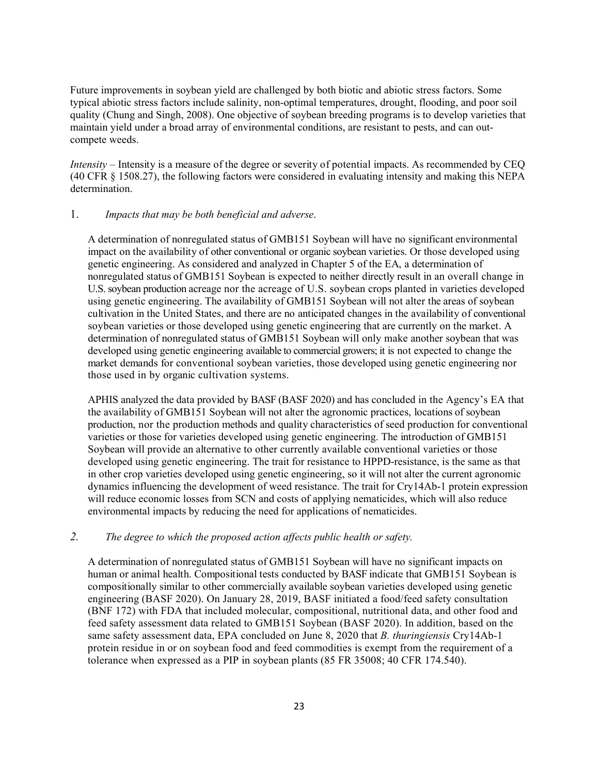Future improvements in soybean yield are challenged by both biotic and abiotic stress factors. Some typical abiotic stress factors include salinity, non-optimal temperatures, drought, flooding, and poor soil quality (Chung and Singh, 2008). One objective of soybean breeding programs is to develop varieties that maintain yield under a broad array of environmental conditions, are resistant to pests, and can outcompete weeds.

*Intensity* – Intensity is a measure of the degree or severity of potential impacts. As recommended by CEQ (40 CFR § 1508.27), the following factors were considered in evaluating intensity and making this NEPA determination.

#### 1. *Impacts that may be both beneficial and adverse*.

A determination of nonregulated status of GMB151 Soybean will have no significant environmental impact on the availability of other conventional or organic soybean varieties. Or those developed using genetic engineering. As considered and analyzed in Chapter 5 of the EA, a determination of nonregulated status of GMB151 Soybean is expected to neither directly result in an overall change in U.S. soybean production acreage nor the acreage of U.S. soybean crops planted in varieties developed using genetic engineering. The availability of GMB151 Soybean will not alter the areas of soybean cultivation in the United States, and there are no anticipated changes in the availability of conventional soybean varieties or those developed using genetic engineering that are currently on the market. A determination of nonregulated status of GMB151 Soybean will only make another soybean that was developed using genetic engineering available to commercial growers; it is not expected to change the market demands for conventional soybean varieties, those developed using genetic engineering nor those used in by organic cultivation systems.

APHIS analyzed the data provided by BASF [\(BASF 2020\)](#page-27-0) and has concluded in the Agency's EA that the availability of GMB151 Soybean will not alter the agronomic practices, locations of soybean production, nor the production methods and quality characteristics of seed production for conventional varieties or those for varieties developed using genetic engineering. The introduction of GMB151 Soybean will provide an alternative to other currently available conventional varieties or those developed using genetic engineering. The trait for resistance to HPPD-resistance, is the same as that in other crop varieties developed using genetic engineering, so it will not alter the current agronomic dynamics influencing the development of weed resistance. The trait for Cry14Ab-1 protein expression will reduce economic losses from SCN and costs of applying nematicides, which will also reduce environmental impacts by reducing the need for applications of nematicides.

#### *2. The degree to which the proposed action affects public health or safety.*

A determination of nonregulated status of GMB151 Soybean will have no significant impacts on human or animal health. Compositional tests conducted by BASF indicate that GMB151 Soybean is compositionally similar to other commercially available soybean varieties developed using genetic engineering [\(BASF 2020\)](#page-27-0). On January 28, 2019, BASF initiated a food/feed safety consultation (BNF 172) with FDA that included molecular, compositional, nutritional data, and other food and feed safety assessment data related to GMB151 Soybean [\(BASF 2020\)](#page-27-0). In addition, based on the same safety assessment data, EPA concluded on June 8, 2020 that *B. thuringiensis* Cry14Ab-1 protein residue in or on soybean [food](https://www.law.cornell.edu/definitions/index.php?width=840&height=800&iframe=true&def_id=73a57ad8ad91d0c2f11bdf0efaa1862d&term_occur=999&term_src=Title:40:Chapter:I:Subchapter:E:Part:174:Subpart:W:174.540) and feed commodities is exempt from the requirement of a tolerance when expressed as a PIP in soybean plants (85 FR 35008; 40 CFR 174.540).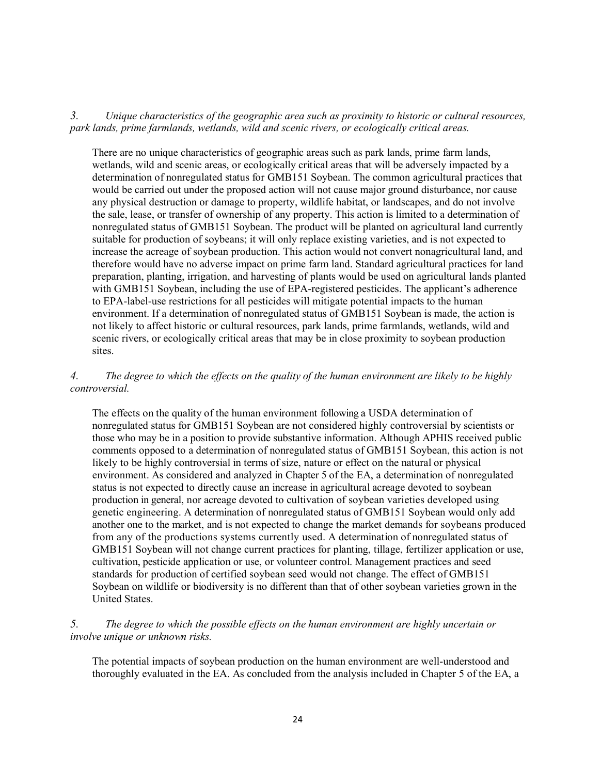*3. Unique characteristics of the geographic area such as proximity to historic or cultural resources, park lands, prime farmlands, wetlands, wild and scenic rivers, or ecologically critical areas.*

There are no unique characteristics of geographic areas such as park lands, prime farm lands, wetlands, wild and scenic areas, or ecologically critical areas that will be adversely impacted by a determination of nonregulated status for GMB151 Soybean. The common agricultural practices that would be carried out under the proposed action will not cause major ground disturbance, nor cause any physical destruction or damage to property, wildlife habitat, or landscapes, and do not involve the sale, lease, or transfer of ownership of any property. This action is limited to a determination of nonregulated status of GMB151 Soybean. The product will be planted on agricultural land currently suitable for production of soybeans; it will only replace existing varieties, and is not expected to increase the acreage of soybean production. This action would not convert nonagricultural land, and therefore would have no adverse impact on prime farm land. Standard agricultural practices for land preparation, planting, irrigation, and harvesting of plants would be used on agricultural lands planted with GMB151 Soybean, including the use of EPA-registered pesticides. The applicant's adherence to EPA-label-use restrictions for all pesticides will mitigate potential impacts to the human environment. If a determination of nonregulated status of GMB151 Soybean is made, the action is not likely to affect historic or cultural resources, park lands, prime farmlands, wetlands, wild and scenic rivers, or ecologically critical areas that may be in close proximity to soybean production sites.

#### *4. The degree to which the effects on the quality of the human environment are likely to be highly controversial.*

The effects on the quality of the human environment following a USDA determination of nonregulated status for GMB151 Soybean are not considered highly controversial by scientists or those who may be in a position to provide substantive information. Although APHIS received public comments opposed to a determination of nonregulated status of GMB151 Soybean, this action is not likely to be highly controversial in terms of size, nature or effect on the natural or physical environment. As considered and analyzed in Chapter 5 of the EA, a determination of nonregulated status is not expected to directly cause an increase in agricultural acreage devoted to soybean production in general, nor acreage devoted to cultivation of soybean varieties developed using genetic engineering. A determination of nonregulated status of GMB151 Soybean would only add another one to the market, and is not expected to change the market demands for soybeans produced from any of the productions systems currently used. A determination of nonregulated status of GMB151 Soybean will not change current practices for planting, tillage, fertilizer application or use, cultivation, pesticide application or use, or volunteer control. Management practices and seed standards for production of certified soybean seed would not change. The effect of GMB151 Soybean on wildlife or biodiversity is no different than that of other soybean varieties grown in the United States.

*5. The degree to which the possible effects on the human environment are highly uncertain or involve unique or unknown risks.*

The potential impacts of soybean production on the human environment are well-understood and thoroughly evaluated in the EA. As concluded from the analysis included in Chapter 5 of the EA, a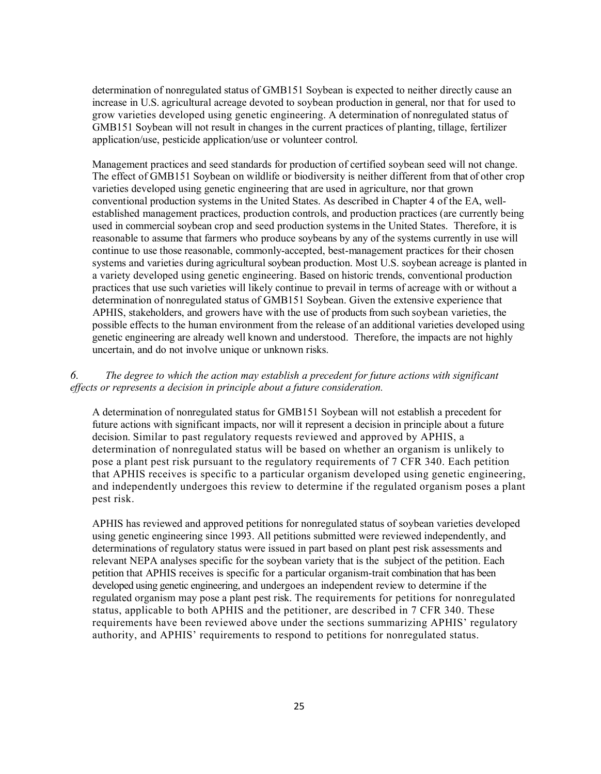determination of nonregulated status of GMB151 Soybean is expected to neither directly cause an increase in U.S. agricultural acreage devoted to soybean production in general, nor that for used to grow varieties developed using genetic engineering. A determination of nonregulated status of GMB151 Soybean will not result in changes in the current practices of planting, tillage, fertilizer application/use, pesticide application/use or volunteer control.

Management practices and seed standards for production of certified soybean seed will not change. The effect of GMB151 Soybean on wildlife or biodiversity is neither different from that of other crop varieties developed using genetic engineering that are used in agriculture, nor that grown conventional production systems in the United States. As described in Chapter 4 of the EA, wellestablished management practices, production controls, and production practices (are currently being used in commercial soybean crop and seed production systems in the United States. Therefore, it is reasonable to assume that farmers who produce soybeans by any of the systems currently in use will continue to use those reasonable, commonly-accepted, best-management practices for their chosen systems and varieties during agricultural soybean production. Most U.S. soybean acreage is planted in a variety developed using genetic engineering. Based on historic trends, conventional production practices that use such varieties will likely continue to prevail in terms of acreage with or without a determination of nonregulated status of GMB151 Soybean. Given the extensive experience that APHIS, stakeholders, and growers have with the use of products from such soybean varieties, the possible effects to the human environment from the release of an additional varieties developed using genetic engineering are already well known and understood. Therefore, the impacts are not highly uncertain, and do not involve unique or unknown risks.

#### *6. The degree to which the action may establish a precedent for future actions with significant effects or represents a decision in principle about a future consideration.*

A determination of nonregulated status for GMB151 Soybean will not establish a precedent for future actions with significant impacts, nor will it represent a decision in principle about a future decision. Similar to past regulatory requests reviewed and approved by APHIS, a determination of nonregulated status will be based on whether an organism is unlikely to pose a plant pest risk pursuant to the regulatory requirements of 7 CFR 340. Each petition that APHIS receives is specific to a particular organism developed using genetic engineering, and independently undergoes this review to determine if the regulated organism poses a plant pest risk.

APHIS has reviewed and approved petitions for nonregulated status of soybean varieties developed using genetic engineering since 1993. All petitions submitted were reviewed independently, and determinations of regulatory status were issued in part based on plant pest risk assessments and relevant NEPA analyses specific for the soybean variety that is the subject of the petition. Each petition that APHIS receives is specific for a particular organism-trait combination that has been developed using genetic engineering, and undergoes an independent review to determine if the regulated organism may pose a plant pest risk. The requirements for petitions for nonregulated status, applicable to both APHIS and the petitioner, are described in 7 CFR 340. These requirements have been reviewed above under the sections summarizing APHIS' regulatory authority, and APHIS' requirements to respond to petitions for nonregulated status.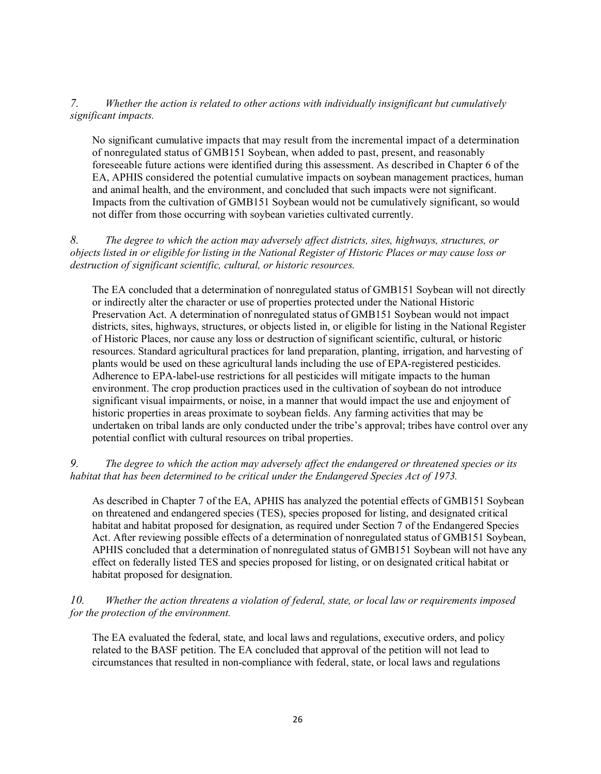#### *7. Whether the action is related to other actions with individually insignificant but cumulatively significant impacts.*

No significant cumulative impacts that may result from the incremental impact of a determination of nonregulated status of GMB151 Soybean, when added to past, present, and reasonably foreseeable future actions were identified during this assessment. As described in Chapter 6 of the EA, APHIS considered the potential cumulative impacts on soybean management practices, human and animal health, and the environment, and concluded that such impacts were not significant. Impacts from the cultivation of GMB151 Soybean would not be cumulatively significant, so would not differ from those occurring with soybean varieties cultivated currently.

*8. The degree to which the action may adversely affect districts, sites, highways, structures, or objects listed in or eligible for listing in the National Register of Historic Places or may cause loss or destruction of significant scientific, cultural, or historic resources.*

The EA concluded that a determination of nonregulated status of GMB151 Soybean will not directly or indirectly alter the character or use of properties protected under the National Historic Preservation Act. A determination of nonregulated status of GMB151 Soybean would not impact districts, sites, highways, structures, or objects listed in, or eligible for listing in the National Register of Historic Places, nor cause any loss or destruction of significant scientific, cultural, or historic resources. Standard agricultural practices for land preparation, planting, irrigation, and harvesting of plants would be used on these agricultural lands including the use of EPA-registered pesticides. Adherence to EPA-label-use restrictions for all pesticides will mitigate impacts to the human environment. The crop production practices used in the cultivation of soybean do not introduce significant visual impairments, or noise, in a manner that would impact the use and enjoyment of historic properties in areas proximate to soybean fields. Any farming activities that may be undertaken on tribal lands are only conducted under the tribe's approval; tribes have control over any potential conflict with cultural resources on tribal properties.

*9. The degree to which the action may adversely affect the endangered or threatened species or its habitat that has been determined to be critical under the Endangered Species Act of 1973.*

As described in Chapter 7 of the EA, APHIS has analyzed the potential effects of GMB151 Soybean on threatened and endangered species (TES), species proposed for listing, and designated critical habitat and habitat proposed for designation, as required under Section 7 of the Endangered Species Act. After reviewing possible effects of a determination of nonregulated status of GMB151 Soybean, APHIS concluded that a determination of nonregulated status of GMB151 Soybean will not have any effect on federally listed TES and species proposed for listing, or on designated critical habitat or habitat proposed for designation.

*10. Whether the action threatens a violation of federal, state, or local law or requirements imposed for the protection of the environment.*

The EA evaluated the federal, state, and local laws and regulations, executive orders, and policy related to the BASF petition. The EA concluded that approval of the petition will not lead to circumstances that resulted in non-compliance with federal, state, or local laws and regulations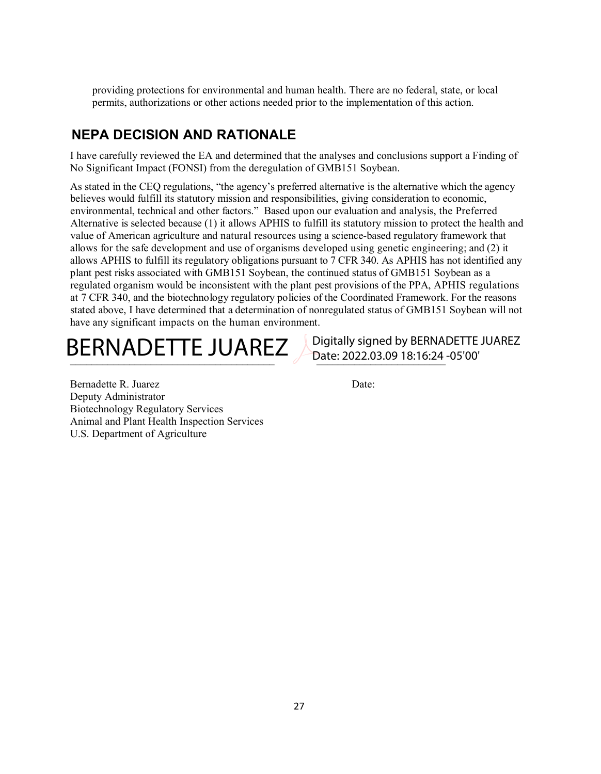providing protections for environmental and human health. There are no federal, state, or local permits, authorizations or other actions needed prior to the implementation of this action.

# **NEPA DECISION AND RATIONALE**

I have carefully reviewed the EA and determined that the analyses and conclusions support a Finding of No Significant Impact (FONSI) from the deregulation of GMB151 Soybean.

As stated in the CEQ regulations, "the agency's preferred alternative is the alternative which the agency believes would fulfill its statutory mission and responsibilities, giving consideration to economic, environmental, technical and other factors." Based upon our evaluation and analysis, the Preferred Alternative is selected because (1) it allows APHIS to fulfill its statutory mission to protect the health and value of American agriculture and natural resources using a science-based regulatory framework that allows for the safe development and use of organisms developed using genetic engineering; and (2) it allows APHIS to fulfill its regulatory obligations pursuant to 7 CFR 340. As APHIS has not identified any plant pest risks associated with GMB151 Soybean, the continued status of GMB151 Soybean as a regulated organism would be inconsistent with the plant pest provisions of the PPA, APHIS regulations at 7 CFR 340, and the biotechnology regulatory policies of the Coordinated Framework. For the reasons stated above, I have determined that a determination of nonregulated status of GMB151 Soybean will not have any significant impacts on the human environment.

BERNADETTE JUAREZ Digitally signed by BERNADETTE JUAREZ

Date: 2022.03.09 18:16:24 -05'00'

Bernadette R. Juarez Date: Deputy Administrator Biotechnology Regulatory Services Animal and Plant Health Inspection Services U.S. Department of Agriculture